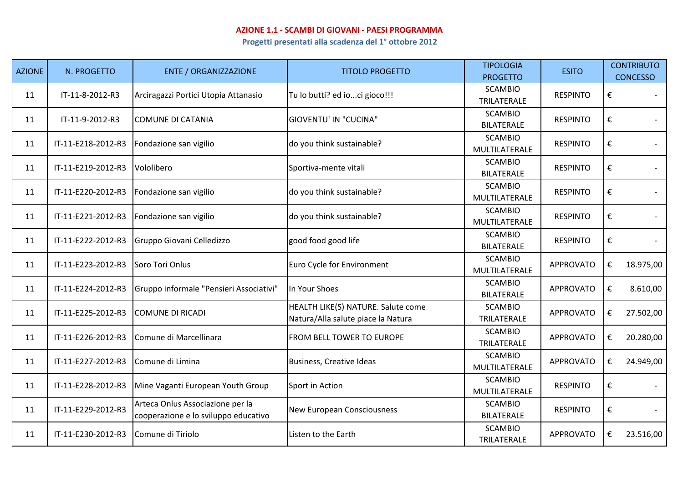## **AZIONE 1.1 - SCAMBI DI GIOVANI - PAESI PROGRAMMA**

**Progetti presentati alla scadenza del 1° ottobre 2012**

| <b>AZIONE</b> | N. PROGETTO        | <b>ENTE / ORGANIZZAZIONE</b>                                             | <b>TITOLO PROGETTO</b>                                                   | <b>TIPOLOGIA</b><br><b>PROGETTO</b> | <b>ESITO</b>     | <b>CONTRIBUTO</b><br><b>CONCESSO</b> |
|---------------|--------------------|--------------------------------------------------------------------------|--------------------------------------------------------------------------|-------------------------------------|------------------|--------------------------------------|
| 11            | IT-11-8-2012-R3    | Arciragazzi Portici Utopia Attanasio                                     | Tu lo butti? ed ioci gioco!!!                                            | <b>SCAMBIO</b><br>TRILATERALE       | <b>RESPINTO</b>  | €                                    |
| 11            | IT-11-9-2012-R3    | <b>COMUNE DI CATANIA</b>                                                 | <b>GIOVENTU' IN "CUCINA"</b>                                             | <b>SCAMBIO</b><br><b>BILATERALE</b> | <b>RESPINTO</b>  | €                                    |
| 11            | IT-11-E218-2012-R3 | Fondazione san vigilio                                                   | do you think sustainable?                                                | <b>SCAMBIO</b><br>MULTILATERALE     | <b>RESPINTO</b>  | €                                    |
| 11            | IT-11-E219-2012-R3 | Vololibero                                                               | Sportiva-mente vitali                                                    | <b>SCAMBIO</b><br><b>BILATERALE</b> | <b>RESPINTO</b>  | €                                    |
| 11            | IT-11-E220-2012-R3 | Fondazione san vigilio                                                   | do you think sustainable?                                                | <b>SCAMBIO</b><br>MULTILATERALE     | <b>RESPINTO</b>  | €                                    |
| 11            | IT-11-E221-2012-R3 | Fondazione san vigilio                                                   | do you think sustainable?                                                | <b>SCAMBIO</b><br>MULTILATERALE     | <b>RESPINTO</b>  | €                                    |
| 11            | IT-11-E222-2012-R3 | Gruppo Giovani Celledizzo                                                | good food good life                                                      | <b>SCAMBIO</b><br><b>BILATERALE</b> | <b>RESPINTO</b>  | €                                    |
| 11            | IT-11-E223-2012-R3 | Soro Tori Onlus                                                          | Euro Cycle for Environment                                               | <b>SCAMBIO</b><br>MULTILATERALE     | <b>APPROVATO</b> | €<br>18.975,00                       |
| 11            | IT-11-E224-2012-R3 | Gruppo informale "Pensieri Associativi"                                  | In Your Shoes                                                            | <b>SCAMBIO</b><br><b>BILATERALE</b> | <b>APPROVATO</b> | €<br>8.610,00                        |
| 11            | IT-11-E225-2012-R3 | <b>COMUNE DI RICADI</b>                                                  | HEALTH LIKE(S) NATURE. Salute come<br>Natura/Alla salute piace la Natura | <b>SCAMBIO</b><br>TRILATERALE       | <b>APPROVATO</b> | €<br>27.502,00                       |
| 11            | IT-11-E226-2012-R3 | Comune di Marcellinara                                                   | FROM BELL TOWER TO EUROPE                                                | <b>SCAMBIO</b><br>TRILATERALE       | <b>APPROVATO</b> | €<br>20.280,00                       |
| 11            | IT-11-E227-2012-R3 | Comune di Limina                                                         | <b>Business, Creative Ideas</b>                                          | <b>SCAMBIO</b><br>MULTILATERALE     | <b>APPROVATO</b> | €<br>24.949,00                       |
| 11            | IT-11-E228-2012-R3 | Mine Vaganti European Youth Group                                        | Sport in Action                                                          | <b>SCAMBIO</b><br>MULTILATERALE     | <b>RESPINTO</b>  | €                                    |
| 11            | IT-11-E229-2012-R3 | Arteca Onlus Associazione per la<br>cooperazione e lo sviluppo educativo | <b>New European Consciousness</b>                                        | <b>SCAMBIO</b><br><b>BILATERALE</b> | <b>RESPINTO</b>  | €                                    |
| 11            | IT-11-E230-2012-R3 | Comune di Tiriolo                                                        | Listen to the Earth                                                      | <b>SCAMBIO</b><br>TRILATERALE       | <b>APPROVATO</b> | €<br>23.516,00                       |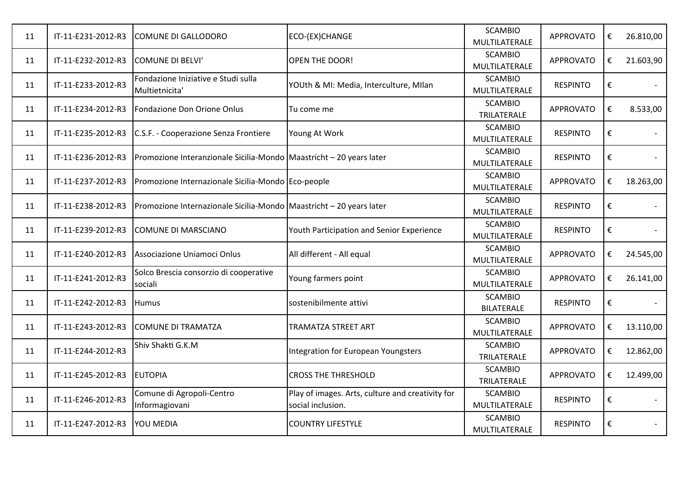| 11 | IT-11-E231-2012-R3 | <b>COMUNE DI GALLODORO</b>                                            | ECO-(EX)CHANGE                                                        | <b>SCAMBIO</b><br>MULTILATERALE     | <b>APPROVATO</b> | € | 26.810,00 |
|----|--------------------|-----------------------------------------------------------------------|-----------------------------------------------------------------------|-------------------------------------|------------------|---|-----------|
| 11 | IT-11-E232-2012-R3 | <b>COMUNE DI BELVI'</b>                                               | <b>OPEN THE DOOR!</b>                                                 | <b>SCAMBIO</b><br>MULTILATERALE     | <b>APPROVATO</b> | € | 21.603,90 |
| 11 | IT-11-E233-2012-R3 | Fondazione Iniziative e Studi sulla<br>Multietnicita'                 | YOUth & MI: Media, Interculture, MIlan                                | <b>SCAMBIO</b><br>MULTILATERALE     | <b>RESPINTO</b>  | € |           |
| 11 | IT-11-E234-2012-R3 | Fondazione Don Orione Onlus                                           | Tu come me                                                            | <b>SCAMBIO</b><br>TRILATERALE       | <b>APPROVATO</b> | € | 8.533,00  |
| 11 | IT-11-E235-2012-R3 | C.S.F. - Cooperazione Senza Frontiere                                 | Young At Work                                                         | <b>SCAMBIO</b><br>MULTILATERALE     | <b>RESPINTO</b>  | € |           |
| 11 | IT-11-E236-2012-R3 | Promozione Interanzionale Sicilia-Mondo Maastricht - 20 years later   |                                                                       | <b>SCAMBIO</b><br>MULTILATERALE     | <b>RESPINTO</b>  | € |           |
| 11 | IT-11-E237-2012-R3 | Promozione Internazionale Sicilia-Mondo Eco-people                    |                                                                       | <b>SCAMBIO</b><br>MULTILATERALE     | <b>APPROVATO</b> | € | 18.263,00 |
| 11 | IT-11-E238-2012-R3 | Promozione Internazionale Sicilia-Mondo   Maastricht - 20 years later |                                                                       | <b>SCAMBIO</b><br>MULTILATERALE     | <b>RESPINTO</b>  | € |           |
| 11 | IT-11-E239-2012-R3 | <b>COMUNE DI MARSCIANO</b>                                            | Youth Participation and Senior Experience                             | <b>SCAMBIO</b><br>MULTILATERALE     | <b>RESPINTO</b>  | € |           |
| 11 | IT-11-E240-2012-R3 | Associazione Uniamoci Onlus                                           | All different - All equal                                             | <b>SCAMBIO</b><br>MULTILATERALE     | <b>APPROVATO</b> | € | 24.545,00 |
| 11 | IT-11-E241-2012-R3 | Solco Brescia consorzio di cooperative<br>sociali                     | Young farmers point                                                   | <b>SCAMBIO</b><br>MULTILATERALE     | <b>APPROVATO</b> | € | 26.141,00 |
| 11 | IT-11-E242-2012-R3 | <b>Humus</b>                                                          | sostenibilmente attivi                                                | <b>SCAMBIO</b><br><b>BILATERALE</b> | <b>RESPINTO</b>  | € |           |
| 11 | IT-11-E243-2012-R3 | <b>COMUNE DI TRAMATZA</b>                                             | <b>TRAMATZA STREET ART</b>                                            | <b>SCAMBIO</b><br>MULTILATERALE     | <b>APPROVATO</b> | € | 13.110,00 |
| 11 | IT-11-E244-2012-R3 | Shiv Shakti G.K.M                                                     | Integration for European Youngsters                                   | <b>SCAMBIO</b><br>TRILATERALE       | <b>APPROVATO</b> | € | 12.862,00 |
| 11 | IT-11-E245-2012-R3 | <b>EUTOPIA</b>                                                        | <b>CROSS THE THRESHOLD</b>                                            | <b>SCAMBIO</b><br>TRILATERALE       | <b>APPROVATO</b> | € | 12.499,00 |
| 11 | IT-11-E246-2012-R3 | Comune di Agropoli-Centro<br>Informagiovani                           | Play of images. Arts, culture and creativity for<br>social inclusion. | <b>SCAMBIO</b><br>MULTILATERALE     | <b>RESPINTO</b>  | € |           |
| 11 | IT-11-E247-2012-R3 | YOU MEDIA                                                             | <b>COUNTRY LIFESTYLE</b>                                              | <b>SCAMBIO</b><br>MULTILATERALE     | <b>RESPINTO</b>  | € |           |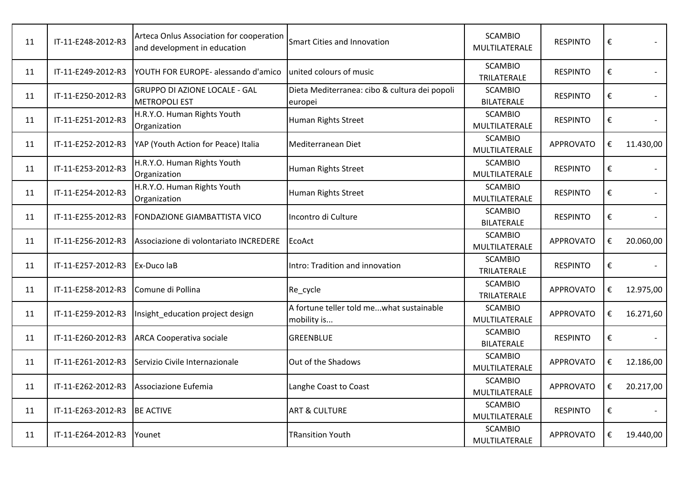| 11 | IT-11-E248-2012-R3 | Arteca Onlus Association for cooperation<br>and development in education | Smart Cities and Innovation                              | <b>SCAMBIO</b><br>MULTILATERALE     | <b>RESPINTO</b>  | €                       |           |
|----|--------------------|--------------------------------------------------------------------------|----------------------------------------------------------|-------------------------------------|------------------|-------------------------|-----------|
| 11 | IT-11-E249-2012-R3 | YOUTH FOR EUROPE- alessando d'amico                                      | united colours of music                                  | <b>SCAMBIO</b><br>TRILATERALE       | <b>RESPINTO</b>  | €                       |           |
| 11 | IT-11-E250-2012-R3 | <b>GRUPPO DI AZIONE LOCALE - GAL</b><br><b>METROPOLI EST</b>             | Dieta Mediterranea: cibo & cultura dei popoli<br>europei | <b>SCAMBIO</b><br><b>BILATERALE</b> | <b>RESPINTO</b>  | $\pmb{\epsilon}$        |           |
| 11 | IT-11-E251-2012-R3 | H.R.Y.O. Human Rights Youth<br>Organization                              | Human Rights Street                                      | <b>SCAMBIO</b><br>MULTILATERALE     | <b>RESPINTO</b>  | €                       |           |
| 11 | IT-11-E252-2012-R3 | YAP (Youth Action for Peace) Italia                                      | Mediterranean Diet                                       | <b>SCAMBIO</b><br>MULTILATERALE     | <b>APPROVATO</b> | €                       | 11.430,00 |
| 11 | IT-11-E253-2012-R3 | H.R.Y.O. Human Rights Youth<br>Organization                              | Human Rights Street                                      | <b>SCAMBIO</b><br>MULTILATERALE     | <b>RESPINTO</b>  | €                       |           |
| 11 | IT-11-E254-2012-R3 | H.R.Y.O. Human Rights Youth<br>Organization                              | Human Rights Street                                      | <b>SCAMBIO</b><br>MULTILATERALE     | <b>RESPINTO</b>  | €                       |           |
| 11 | IT-11-E255-2012-R3 | FONDAZIONE GIAMBATTISTA VICO                                             | Incontro di Culture                                      | <b>SCAMBIO</b><br><b>BILATERALE</b> | <b>RESPINTO</b>  | $\boldsymbol{\epsilon}$ |           |
| 11 | IT-11-E256-2012-R3 | Associazione di volontariato INCREDERE                                   | EcoAct                                                   | <b>SCAMBIO</b><br>MULTILATERALE     | <b>APPROVATO</b> | €                       | 20.060,00 |
| 11 | IT-11-E257-2012-R3 | Ex-Duco laB                                                              | Intro: Tradition and innovation                          | <b>SCAMBIO</b><br>TRILATERALE       | <b>RESPINTO</b>  | €                       |           |
| 11 | IT-11-E258-2012-R3 | Comune di Pollina                                                        | Re_cycle                                                 | <b>SCAMBIO</b><br>TRILATERALE       | <b>APPROVATO</b> | €                       | 12.975,00 |
| 11 | IT-11-E259-2012-R3 | Insight education project design                                         | A fortune teller told mewhat sustainable<br>mobility is  | <b>SCAMBIO</b><br>MULTILATERALE     | <b>APPROVATO</b> | €                       | 16.271,60 |
| 11 | IT-11-E260-2012-R3 | <b>ARCA Cooperativa sociale</b>                                          | <b>GREENBLUE</b>                                         | <b>SCAMBIO</b><br><b>BILATERALE</b> | <b>RESPINTO</b>  | €                       |           |
| 11 | IT-11-E261-2012-R3 | Servizio Civile Internazionale                                           | Out of the Shadows                                       | <b>SCAMBIO</b><br>MULTILATERALE     | <b>APPROVATO</b> | €                       | 12.186,00 |
| 11 | IT-11-E262-2012-R3 | Associazione Eufemia                                                     | Langhe Coast to Coast                                    | <b>SCAMBIO</b><br>MULTILATERALE     | <b>APPROVATO</b> | €                       | 20.217,00 |
| 11 | IT-11-E263-2012-R3 | <b>BE ACTIVE</b>                                                         | <b>ART &amp; CULTURE</b>                                 | <b>SCAMBIO</b><br>MULTILATERALE     | <b>RESPINTO</b>  | $\pmb{\epsilon}$        |           |
| 11 | IT-11-E264-2012-R3 | Younet                                                                   | TRansition Youth                                         | <b>SCAMBIO</b><br>MULTILATERALE     | <b>APPROVATO</b> | €                       | 19.440,00 |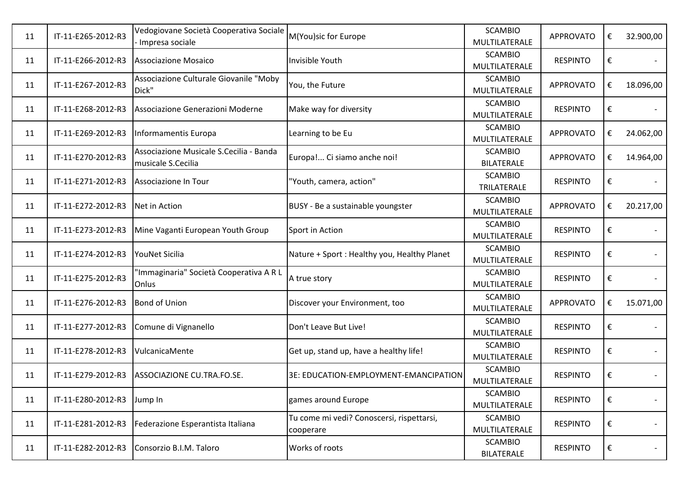| 11 | IT-11-E265-2012-R3 | Vedogiovane Società Cooperativa Sociale<br>Impresa sociale    | M(You)sic for Europe                                   | <b>SCAMBIO</b><br>MULTILATERALE     | <b>APPROVATO</b> | € | 32.900,00 |
|----|--------------------|---------------------------------------------------------------|--------------------------------------------------------|-------------------------------------|------------------|---|-----------|
| 11 | IT-11-E266-2012-R3 | <b>Associazione Mosaico</b>                                   | Invisible Youth                                        | <b>SCAMBIO</b><br>MULTILATERALE     | <b>RESPINTO</b>  | € |           |
| 11 | IT-11-E267-2012-R3 | Associazione Culturale Giovanile "Moby<br>Dick"               | You, the Future                                        | <b>SCAMBIO</b><br>MULTILATERALE     | <b>APPROVATO</b> | € | 18.096,00 |
| 11 | IT-11-E268-2012-R3 | Associazione Generazioni Moderne                              | Make way for diversity                                 | <b>SCAMBIO</b><br>MULTILATERALE     | <b>RESPINTO</b>  | € |           |
| 11 | IT-11-E269-2012-R3 | Informamentis Europa                                          | Learning to be Eu                                      | <b>SCAMBIO</b><br>MULTILATERALE     | <b>APPROVATO</b> | € | 24.062,00 |
| 11 | IT-11-E270-2012-R3 | Associazione Musicale S.Cecilia - Banda<br>musicale S.Cecilia | Europa! Ci siamo anche noi!                            | <b>SCAMBIO</b><br><b>BILATERALE</b> | <b>APPROVATO</b> | € | 14.964,00 |
| 11 | IT-11-E271-2012-R3 | Associazione In Tour                                          | "Youth, camera, action"                                | <b>SCAMBIO</b><br>TRILATERALE       | <b>RESPINTO</b>  | € |           |
| 11 | IT-11-E272-2012-R3 | Net in Action                                                 | BUSY - Be a sustainable youngster                      | <b>SCAMBIO</b><br>MULTILATERALE     | <b>APPROVATO</b> | € | 20.217,00 |
| 11 | IT-11-E273-2012-R3 | Mine Vaganti European Youth Group                             | Sport in Action                                        | <b>SCAMBIO</b><br>MULTILATERALE     | <b>RESPINTO</b>  | € |           |
| 11 | IT-11-E274-2012-R3 | YouNet Sicilia                                                | Nature + Sport: Healthy you, Healthy Planet            | <b>SCAMBIO</b><br>MULTILATERALE     | <b>RESPINTO</b>  | € |           |
| 11 | IT-11-E275-2012-R3 | 'Immaginaria" Società Cooperativa A R L<br>Onlus              | A true story                                           | <b>SCAMBIO</b><br>MULTILATERALE     | <b>RESPINTO</b>  | € |           |
| 11 | IT-11-E276-2012-R3 | <b>Bond of Union</b>                                          | Discover your Environment, too                         | <b>SCAMBIO</b><br>MULTILATERALE     | <b>APPROVATO</b> | € | 15.071,00 |
| 11 | IT-11-E277-2012-R3 | Comune di Vignanello                                          | Don't Leave But Live!                                  | <b>SCAMBIO</b><br>MULTILATERALE     | <b>RESPINTO</b>  | € |           |
| 11 | IT-11-E278-2012-R3 | VulcanicaMente                                                | Get up, stand up, have a healthy life!                 | <b>SCAMBIO</b><br>MULTILATERALE     | <b>RESPINTO</b>  | € |           |
| 11 | IT-11-E279-2012-R3 | ASSOCIAZIONE CU.TRA.FO.SE.                                    | 3E: EDUCATION-EMPLOYMENT-EMANCIPATION                  | <b>SCAMBIO</b><br>MULTILATERALE     | <b>RESPINTO</b>  | € |           |
|    |                    |                                                               |                                                        |                                     |                  |   |           |
| 11 | IT-11-E280-2012-R3 | Jump In                                                       | games around Europe                                    | <b>SCAMBIO</b><br>MULTILATERALE     | <b>RESPINTO</b>  | € |           |
| 11 | IT-11-E281-2012-R3 | Federazione Esperantista Italiana                             | Tu come mi vedi? Conoscersi, rispettarsi,<br>cooperare | <b>SCAMBIO</b><br>MULTILATERALE     | <b>RESPINTO</b>  | € | $\sim$    |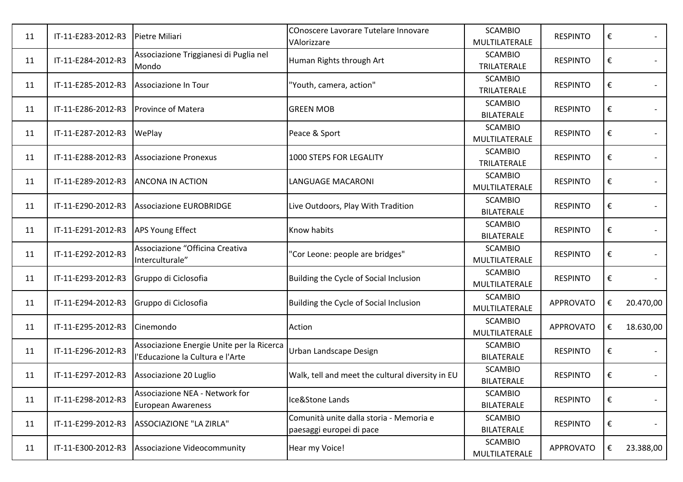| 11 | IT-11-E283-2012-R3 | Pietre Miliari                                                                | COnoscere Lavorare Tutelare Innovare<br>VAlorizzare                 | <b>SCAMBIO</b><br>MULTILATERALE     | <b>RESPINTO</b>  | € |           |
|----|--------------------|-------------------------------------------------------------------------------|---------------------------------------------------------------------|-------------------------------------|------------------|---|-----------|
| 11 | IT-11-E284-2012-R3 | Associazione Triggianesi di Puglia nel<br>Mondo                               | Human Rights through Art                                            | <b>SCAMBIO</b><br>TRILATERALE       | <b>RESPINTO</b>  | € |           |
| 11 | IT-11-E285-2012-R3 | Associazione In Tour                                                          | "Youth, camera, action"                                             | <b>SCAMBIO</b><br>TRILATERALE       | <b>RESPINTO</b>  | € |           |
| 11 | IT-11-E286-2012-R3 | <b>Province of Matera</b>                                                     | <b>GREEN MOB</b>                                                    | <b>SCAMBIO</b><br><b>BILATERALE</b> | <b>RESPINTO</b>  | € |           |
| 11 | IT-11-E287-2012-R3 | WePlay                                                                        | Peace & Sport                                                       | <b>SCAMBIO</b><br>MULTILATERALE     | <b>RESPINTO</b>  | € |           |
| 11 | IT-11-E288-2012-R3 | <b>Associazione Pronexus</b>                                                  | 1000 STEPS FOR LEGALITY                                             | <b>SCAMBIO</b><br>TRILATERALE       | <b>RESPINTO</b>  | € |           |
| 11 | IT-11-E289-2012-R3 | <b>ANCONA IN ACTION</b>                                                       | <b>LANGUAGE MACARONI</b>                                            | <b>SCAMBIO</b><br>MULTILATERALE     | <b>RESPINTO</b>  | € |           |
| 11 | IT-11-E290-2012-R3 | <b>Associazione EUROBRIDGE</b>                                                | Live Outdoors, Play With Tradition                                  | <b>SCAMBIO</b><br><b>BILATERALE</b> | <b>RESPINTO</b>  | € |           |
| 11 | IT-11-E291-2012-R3 | <b>APS Young Effect</b>                                                       | <b>Know habits</b>                                                  | <b>SCAMBIO</b><br><b>BILATERALE</b> | <b>RESPINTO</b>  | € |           |
| 11 | IT-11-E292-2012-R3 | Associazione "Officina Creativa<br>Interculturale"                            | 'Cor Leone: people are bridges"                                     | <b>SCAMBIO</b><br>MULTILATERALE     | <b>RESPINTO</b>  | € |           |
| 11 | IT-11-E293-2012-R3 | Gruppo di Ciclosofia                                                          | Building the Cycle of Social Inclusion                              | <b>SCAMBIO</b><br>MULTILATERALE     | <b>RESPINTO</b>  | € |           |
| 11 | IT-11-E294-2012-R3 | Gruppo di Ciclosofia                                                          | Building the Cycle of Social Inclusion                              | <b>SCAMBIO</b><br>MULTILATERALE     | <b>APPROVATO</b> | € | 20.470,00 |
| 11 | IT-11-E295-2012-R3 | Cinemondo                                                                     | Action                                                              | <b>SCAMBIO</b><br>MULTILATERALE     | <b>APPROVATO</b> | € | 18.630,00 |
| 11 | IT-11-E296-2012-R3 | Associazione Energie Unite per la Ricerca<br>l'Educazione la Cultura e l'Arte | <b>Urban Landscape Design</b>                                       | <b>SCAMBIO</b><br><b>BILATERALE</b> | <b>RESPINTO</b>  | € |           |
| 11 | IT-11-E297-2012-R3 | Associazione 20 Luglio                                                        | Walk, tell and meet the cultural diversity in EU                    | <b>SCAMBIO</b><br><b>BILATERALE</b> | <b>RESPINTO</b>  | € |           |
| 11 | IT-11-E298-2012-R3 | Associazione NEA - Network for<br>European Awareness                          | Ice&Stone Lands                                                     | <b>SCAMBIO</b><br><b>BILATERALE</b> | <b>RESPINTO</b>  | € |           |
| 11 | IT-11-E299-2012-R3 | ASSOCIAZIONE "LA ZIRLA"                                                       | Comunità unite dalla storia - Memoria e<br>paesaggi europei di pace | <b>SCAMBIO</b><br><b>BILATERALE</b> | <b>RESPINTO</b>  | € |           |
| 11 | IT-11-E300-2012-R3 | Associazione Videocommunity                                                   | Hear my Voice!                                                      | <b>SCAMBIO</b><br>MULTILATERALE     | <b>APPROVATO</b> | € | 23.388,00 |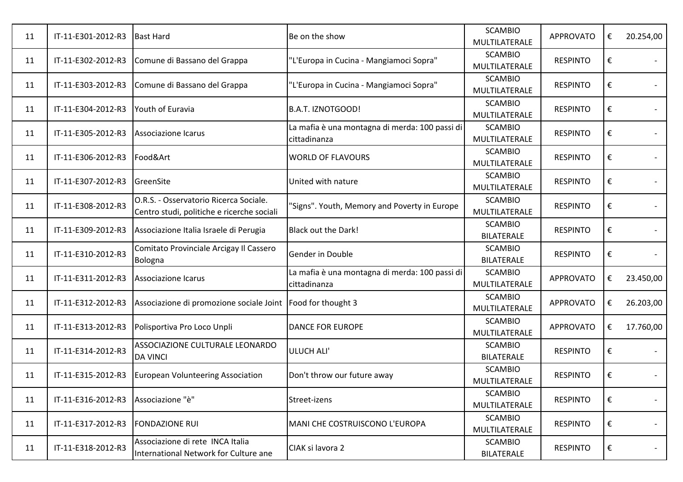| 11 | IT-11-E301-2012-R3 | <b>Bast Hard</b>                                                                     | Be on the show                                                 | <b>SCAMBIO</b><br>MULTILATERALE     | <b>APPROVATO</b> | € | 20.254,00 |
|----|--------------------|--------------------------------------------------------------------------------------|----------------------------------------------------------------|-------------------------------------|------------------|---|-----------|
| 11 | IT-11-E302-2012-R3 | Comune di Bassano del Grappa                                                         | "L'Europa in Cucina - Mangiamoci Sopra"                        | <b>SCAMBIO</b><br>MULTILATERALE     | <b>RESPINTO</b>  | € |           |
| 11 | IT-11-E303-2012-R3 | Comune di Bassano del Grappa                                                         | "L'Europa in Cucina - Mangiamoci Sopra"                        | <b>SCAMBIO</b><br>MULTILATERALE     | <b>RESPINTO</b>  | € |           |
| 11 | IT-11-E304-2012-R3 | Youth of Euravia                                                                     | <b>B.A.T. IZNOTGOOD!</b>                                       | <b>SCAMBIO</b><br>MULTILATERALE     | <b>RESPINTO</b>  | € |           |
| 11 | IT-11-E305-2012-R3 | Associazione Icarus                                                                  | La mafia è una montagna di merda: 100 passi di<br>cittadinanza | <b>SCAMBIO</b><br>MULTILATERALE     | <b>RESPINTO</b>  | € |           |
| 11 | IT-11-E306-2012-R3 | Food&Art                                                                             | <b>WORLD OF FLAVOURS</b>                                       | <b>SCAMBIO</b><br>MULTILATERALE     | <b>RESPINTO</b>  | € |           |
| 11 | IT-11-E307-2012-R3 | GreenSite                                                                            | United with nature                                             | <b>SCAMBIO</b><br>MULTILATERALE     | <b>RESPINTO</b>  | € |           |
| 11 | IT-11-E308-2012-R3 | O.R.S. - Osservatorio Ricerca Sociale.<br>Centro studi, politiche e ricerche sociali | 'Signs". Youth, Memory and Poverty in Europe                   | <b>SCAMBIO</b><br>MULTILATERALE     | <b>RESPINTO</b>  | € |           |
| 11 | IT-11-E309-2012-R3 | Associazione Italia Israele di Perugia                                               | Black out the Dark!                                            | <b>SCAMBIO</b><br><b>BILATERALE</b> | <b>RESPINTO</b>  | € |           |
| 11 | IT-11-E310-2012-R3 | Comitato Provinciale Arcigay Il Cassero<br>Bologna                                   | Gender in Double                                               | <b>SCAMBIO</b><br><b>BILATERALE</b> | <b>RESPINTO</b>  | € |           |
| 11 | IT-11-E311-2012-R3 | Associazione Icarus                                                                  | La mafia è una montagna di merda: 100 passi di<br>cittadinanza | <b>SCAMBIO</b><br>MULTILATERALE     | <b>APPROVATO</b> | € | 23.450,00 |
| 11 | IT-11-E312-2012-R3 | Associazione di promozione sociale Joint                                             | Food for thought 3                                             | <b>SCAMBIO</b><br>MULTILATERALE     | <b>APPROVATO</b> | € | 26.203,00 |
| 11 | IT-11-E313-2012-R3 | Polisportiva Pro Loco Unpli                                                          | <b>DANCE FOR EUROPE</b>                                        | <b>SCAMBIO</b><br>MULTILATERALE     | <b>APPROVATO</b> | € | 17.760,00 |
| 11 | IT-11-E314-2012-R3 | ASSOCIAZIONE CULTURALE LEONARDO<br><b>DA VINCI</b>                                   | ULUCH ALI'                                                     | <b>SCAMBIO</b><br><b>BILATERALE</b> | <b>RESPINTO</b>  | € |           |
| 11 | IT-11-E315-2012-R3 | <b>European Volunteering Association</b>                                             | Don't throw our future away                                    | <b>SCAMBIO</b><br>MULTILATERALE     | <b>RESPINTO</b>  | € |           |
| 11 | IT-11-E316-2012-R3 | Associazione "è"                                                                     | Street-izens                                                   | <b>SCAMBIO</b><br>MULTILATERALE     | <b>RESPINTO</b>  | € |           |
| 11 | IT-11-E317-2012-R3 | <b>FONDAZIONE RUI</b>                                                                | MANI CHE COSTRUISCONO L'EUROPA                                 | <b>SCAMBIO</b><br>MULTILATERALE     | <b>RESPINTO</b>  | € |           |
| 11 | IT-11-E318-2012-R3 | Associazione di rete INCA Italia<br>International Network for Culture ane            | CIAK si lavora 2                                               | <b>SCAMBIO</b><br><b>BILATERALE</b> | <b>RESPINTO</b>  | € |           |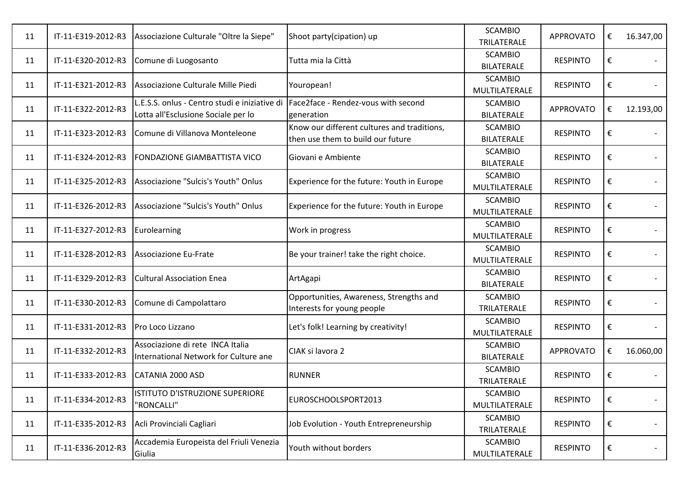| 11 | IT-11-E319-2012-R3 | Associazione Culturale "Oltre la Siepe"                                              | Shoot party(cipation) up                                                         | <b>SCAMBIO</b><br>TRILATERALE       | <b>APPROVATO</b> | € | 16.347,00 |
|----|--------------------|--------------------------------------------------------------------------------------|----------------------------------------------------------------------------------|-------------------------------------|------------------|---|-----------|
| 11 | IT-11-E320-2012-R3 | Comune di Luogosanto                                                                 | Tutta mia la Città                                                               | <b>SCAMBIO</b><br><b>BILATERALE</b> | <b>RESPINTO</b>  | € |           |
| 11 | IT-11-E321-2012-R3 | Associazione Culturale Mille Piedi                                                   | Youropean!                                                                       | <b>SCAMBIO</b><br>MULTILATERALE     | <b>RESPINTO</b>  | € |           |
| 11 | IT-11-E322-2012-R3 | L.E.S.S. onlus - Centro studi e iniziative di<br>Lotta all'Esclusione Sociale per lo | Face2face - Rendez-vous with second<br>generation                                | <b>SCAMBIO</b><br><b>BILATERALE</b> | <b>APPROVATO</b> | € | 12.193,00 |
| 11 | IT-11-E323-2012-R3 | Comune di Villanova Monteleone                                                       | Know our different cultures and traditions,<br>then use them to build our future | <b>SCAMBIO</b><br><b>BILATERALE</b> | <b>RESPINTO</b>  | € |           |
| 11 | IT-11-E324-2012-R3 | FONDAZIONE GIAMBATTISTA VICO                                                         | Giovani e Ambiente                                                               | <b>SCAMBIO</b><br><b>BILATERALE</b> | <b>RESPINTO</b>  | € |           |
| 11 | IT-11-E325-2012-R3 | Associazione "Sulcis's Youth" Onlus                                                  | Experience for the future: Youth in Europe                                       | <b>SCAMBIO</b><br>MULTILATERALE     | <b>RESPINTO</b>  | € |           |
| 11 | IT-11-E326-2012-R3 | Associazione "Sulcis's Youth" Onlus                                                  | Experience for the future: Youth in Europe                                       | <b>SCAMBIO</b><br>MULTILATERALE     | <b>RESPINTO</b>  | € |           |
| 11 | IT-11-E327-2012-R3 | Eurolearning                                                                         | Work in progress                                                                 | <b>SCAMBIO</b><br>MULTILATERALE     | <b>RESPINTO</b>  | € |           |
| 11 | IT-11-E328-2012-R3 | <b>Associazione Eu-Frate</b>                                                         | Be your trainer! take the right choice.                                          | <b>SCAMBIO</b><br>MULTILATERALE     | <b>RESPINTO</b>  | € |           |
| 11 | IT-11-E329-2012-R3 | <b>Cultural Association Enea</b>                                                     | ArtAgapi                                                                         | <b>SCAMBIO</b><br><b>BILATERALE</b> | <b>RESPINTO</b>  | € |           |
| 11 | IT-11-E330-2012-R3 | Comune di Campolattaro                                                               | Opportunities, Awareness, Strengths and<br>Interests for young people            | <b>SCAMBIO</b><br>TRILATERALE       | <b>RESPINTO</b>  | € |           |
| 11 | IT-11-E331-2012-R3 | Pro Loco Lizzano                                                                     | Let's folk! Learning by creativity!                                              | <b>SCAMBIO</b><br>MULTILATERALE     | <b>RESPINTO</b>  | € |           |
| 11 | IT-11-E332-2012-R3 | Associazione di rete INCA Italia<br>International Network for Culture ane            | CIAK si lavora 2                                                                 | <b>SCAMBIO</b><br><b>BILATERALE</b> | <b>APPROVATO</b> | € | 16.060,00 |
| 11 | IT-11-E333-2012-R3 | CATANIA 2000 ASD                                                                     | <b>RUNNER</b>                                                                    | <b>SCAMBIO</b><br>TRILATERALE       | <b>RESPINTO</b>  | € |           |
| 11 | IT-11-E334-2012-R3 | ISTITUTO D'ISTRUZIONE SUPERIORE<br>"RONCALLI"                                        | EUROSCHOOLSPORT2013                                                              | <b>SCAMBIO</b><br>MULTILATERALE     | <b>RESPINTO</b>  | € |           |
| 11 | IT-11-E335-2012-R3 | Acli Provinciali Cagliari                                                            | Job Evolution - Youth Entrepreneurship                                           | <b>SCAMBIO</b><br>TRILATERALE       | <b>RESPINTO</b>  | € |           |
| 11 | IT-11-E336-2012-R3 | Accademia Europeista del Friuli Venezia<br>Giulia                                    | Youth without borders                                                            | <b>SCAMBIO</b><br>MULTILATERALE     | <b>RESPINTO</b>  | € |           |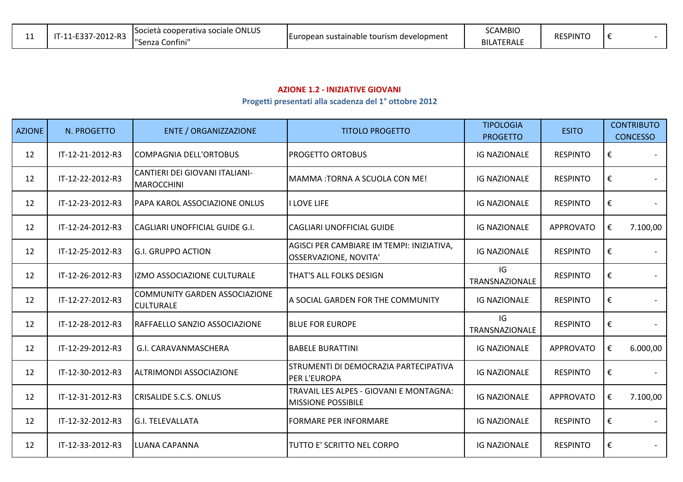| -- | $-2012 - R3$<br>$-0.27$<br>$\mathbf{I} - \mathbf{I}$ | Società cooperativa sociale ONLUS<br>$\mathbf{H}$<br>. Confini''<br>'Senzal | n sustainable tourism development .<br>curopean | <b>SCAMBIO</b><br><b>BILATERALE</b> | <b>RESPINTC</b> |  |  |
|----|------------------------------------------------------|-----------------------------------------------------------------------------|-------------------------------------------------|-------------------------------------|-----------------|--|--|
|----|------------------------------------------------------|-----------------------------------------------------------------------------|-------------------------------------------------|-------------------------------------|-----------------|--|--|

## **AZIONE 1.2 - INIZIATIVE GIOVANI**

## **Progetti presentati alla scadenza del 1° ottobre 2012**

| <b>AZIONE</b> | N. PROGETTO      | <b>ENTE / ORGANIZZAZIONE</b>                             | <b>TITOLO PROGETTO</b>                                             | <b>TIPOLOGIA</b><br><b>PROGETTO</b> | <b>ESITO</b>     |   | <b>CONTRIBUTO</b><br><b>CONCESSO</b> |
|---------------|------------------|----------------------------------------------------------|--------------------------------------------------------------------|-------------------------------------|------------------|---|--------------------------------------|
| 12            | IT-12-21-2012-R3 | <b>COMPAGNIA DELL'ORTOBUS</b>                            | PROGETTO ORTOBUS                                                   | <b>IG NAZIONALE</b>                 | <b>RESPINTO</b>  | € |                                      |
| 12            | IT-12-22-2012-R3 | CANTIERI DEI GIOVANI ITALIANI-<br>MAROCCHINI             | MAMMA:TORNA A SCUOLA CON ME!                                       | <b>IG NAZIONALE</b>                 | <b>RESPINTO</b>  | € |                                      |
| 12            | IT-12-23-2012-R3 | PAPA KAROL ASSOCIAZIONE ONLUS                            | I LOVE LIFE                                                        | <b>IG NAZIONALE</b>                 | <b>RESPINTO</b>  | € |                                      |
| 12            | IT-12-24-2012-R3 | CAGLIARI UNOFFICIAL GUIDE G.I.                           | <b>CAGLIARI UNOFFICIAL GUIDE</b>                                   | <b>IG NAZIONALE</b>                 | <b>APPROVATO</b> | € | 7.100,00                             |
| 12            | IT-12-25-2012-R3 | <b>G.I. GRUPPO ACTION</b>                                | AGISCI PER CAMBIARE IM TEMPI: INIZIATIVA,<br>OSSERVAZIONE, NOVITA' | <b>IG NAZIONALE</b>                 | <b>RESPINTO</b>  | € |                                      |
| 12            | IT-12-26-2012-R3 | IZMO ASSOCIAZIONE CULTURALE                              | THAT'S ALL FOLKS DESIGN                                            | IG<br><b>TRANSNAZIONALE</b>         | <b>RESPINTO</b>  | € |                                      |
| 12            | IT-12-27-2012-R3 | <b>COMMUNITY GARDEN ASSOCIAZIONE</b><br><b>CULTURALE</b> | A SOCIAL GARDEN FOR THE COMMUNITY                                  | <b>IG NAZIONALE</b>                 | <b>RESPINTO</b>  | € |                                      |
| 12            | IT-12-28-2012-R3 | RAFFAELLO SANZIO ASSOCIAZIONE                            | <b>BLUE FOR EUROPE</b>                                             | IG<br><b>TRANSNAZIONALE</b>         | <b>RESPINTO</b>  | € |                                      |
| 12            | IT-12-29-2012-R3 | G.I. CARAVANMASCHERA                                     | <b>BABELE BURATTINI</b>                                            | <b>IG NAZIONALE</b>                 | <b>APPROVATO</b> | € | 6.000,00                             |
| 12            | IT-12-30-2012-R3 | ALTRIMONDI ASSOCIAZIONE                                  | STRUMENTI DI DEMOCRAZIA PARTECIPATIVA<br>PER L'EUROPA              | <b>IG NAZIONALE</b>                 | <b>RESPINTO</b>  | € |                                      |
| 12            | IT-12-31-2012-R3 | CRISALIDE S.C.S. ONLUS                                   | TRAVAIL LES ALPES - GIOVANI E MONTAGNA:<br>MISSIONE POSSIBILE      | <b>IG NAZIONALE</b>                 | <b>APPROVATO</b> | € | 7.100,00                             |
| 12            | IT-12-32-2012-R3 | <b>G.I. TELEVALLATA</b>                                  | <b>FORMARE PER INFORMARE</b>                                       | <b>IG NAZIONALE</b>                 | <b>RESPINTO</b>  | € |                                      |
| 12            | IT-12-33-2012-R3 | LUANA CAPANNA                                            | TUTTO E' SCRITTO NEL CORPO                                         | <b>IG NAZIONALE</b>                 | <b>RESPINTO</b>  | € |                                      |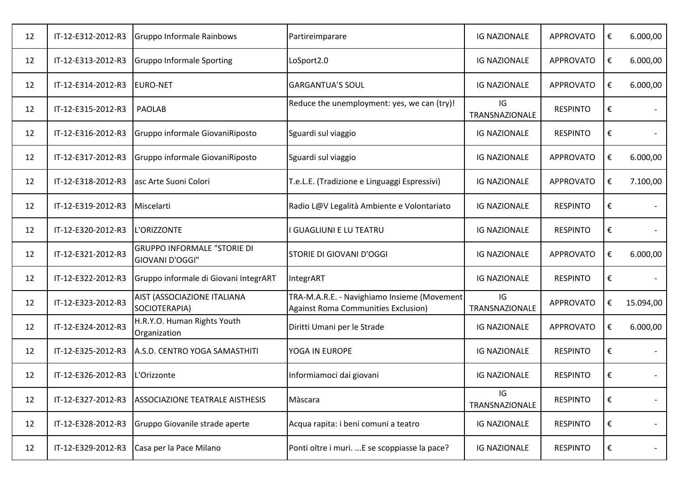| 12 | IT-12-E312-2012-R3 | Gruppo Informale Rainbows                             | Partireimparare                                                                           | <b>IG NAZIONALE</b>  | <b>APPROVATO</b> | € | 6.000,00  |
|----|--------------------|-------------------------------------------------------|-------------------------------------------------------------------------------------------|----------------------|------------------|---|-----------|
| 12 | IT-12-E313-2012-R3 | <b>Gruppo Informale Sporting</b>                      | LoSport2.0                                                                                | <b>IG NAZIONALE</b>  | <b>APPROVATO</b> | € | 6.000,00  |
| 12 | IT-12-E314-2012-R3 | <b>EURO-NET</b>                                       | <b>GARGANTUA'S SOUL</b>                                                                   | <b>IG NAZIONALE</b>  | <b>APPROVATO</b> | € | 6.000,00  |
| 12 | IT-12-E315-2012-R3 | <b>PAOLAB</b>                                         | Reduce the unemployment: yes, we can (try)!                                               | IG<br>TRANSNAZIONALE | <b>RESPINTO</b>  | € |           |
| 12 | IT-12-E316-2012-R3 | Gruppo informale GiovaniRiposto                       | Sguardi sul viaggio                                                                       | <b>IG NAZIONALE</b>  | <b>RESPINTO</b>  | € |           |
| 12 | IT-12-E317-2012-R3 | Gruppo informale GiovaniRiposto                       | Sguardi sul viaggio                                                                       | <b>IG NAZIONALE</b>  | <b>APPROVATO</b> | € | 6.000,00  |
| 12 | IT-12-E318-2012-R3 | asc Arte Suoni Colori                                 | T.e.L.E. (Tradizione e Linguaggi Espressivi)                                              | <b>IG NAZIONALE</b>  | <b>APPROVATO</b> | € | 7.100,00  |
| 12 | IT-12-E319-2012-R3 | Miscelarti                                            | Radio L@V Legalità Ambiente e Volontariato                                                | <b>IG NAZIONALE</b>  | <b>RESPINTO</b>  | € |           |
| 12 | IT-12-E320-2012-R3 | L'ORIZZONTE                                           | <b>GUAGLIUNI E LU TEATRU</b>                                                              | <b>IG NAZIONALE</b>  | <b>RESPINTO</b>  | € |           |
| 12 | IT-12-E321-2012-R3 | <b>GRUPPO INFORMALE "STORIE DI</b><br>GIOVANI D'OGGI" | <b>STORIE DI GIOVANI D'OGGI</b>                                                           | <b>IG NAZIONALE</b>  | <b>APPROVATO</b> | € | 6.000,00  |
| 12 | IT-12-E322-2012-R3 | Gruppo informale di Giovani IntegrART                 | IntegrART                                                                                 | <b>IG NAZIONALE</b>  | <b>RESPINTO</b>  | € |           |
| 12 | IT-12-E323-2012-R3 | AIST (ASSOCIAZIONE ITALIANA<br>SOCIOTERAPIA)          | TRA-M.A.R.E. - Navighiamo Insieme (Movement<br><b>Against Roma Communities Exclusion)</b> | IG<br>TRANSNAZIONALE | <b>APPROVATO</b> | € | 15.094,00 |
| 12 | IT-12-E324-2012-R3 | H.R.Y.O. Human Rights Youth<br>Organization           | Diritti Umani per le Strade                                                               | <b>IG NAZIONALE</b>  | <b>APPROVATO</b> | € | 6.000,00  |
| 12 | IT-12-E325-2012-R3 | A.S.D. CENTRO YOGA SAMASTHITI                         | YOGA IN EUROPE                                                                            | <b>IG NAZIONALE</b>  | <b>RESPINTO</b>  | € |           |
| 12 | IT-12-E326-2012-R3 | L'Orizzonte                                           | Informiamoci dai giovani                                                                  | <b>IG NAZIONALE</b>  | <b>RESPINTO</b>  | € |           |
| 12 | IT-12-E327-2012-R3 | <b>ASSOCIAZIONE TEATRALE AISTHESIS</b>                | Màscara                                                                                   | IG<br>TRANSNAZIONALE | <b>RESPINTO</b>  | € |           |
| 12 | IT-12-E328-2012-R3 | Gruppo Giovanile strade aperte                        | Acqua rapita: i beni comuni a teatro                                                      | <b>IG NAZIONALE</b>  | <b>RESPINTO</b>  | € |           |
| 12 | IT-12-E329-2012-R3 | Casa per la Pace Milano                               | Ponti oltre i muri.  E se scoppiasse la pace?                                             | <b>IG NAZIONALE</b>  | <b>RESPINTO</b>  | € |           |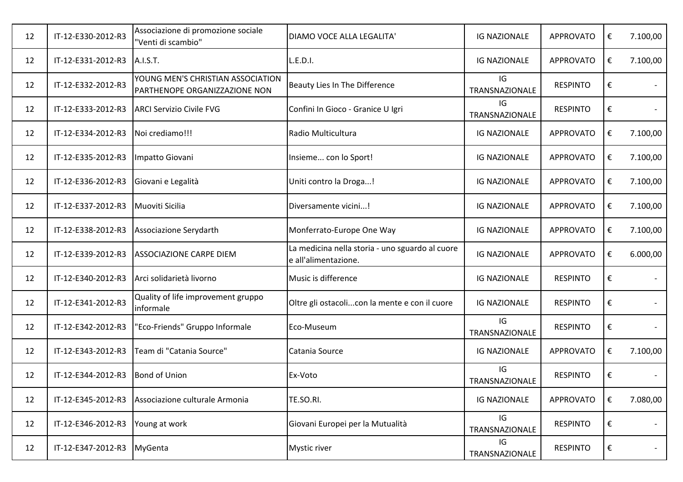| 12 | IT-12-E330-2012-R3 | Associazione di promozione sociale<br>"Venti di scambio"           | DIAMO VOCE ALLA LEGALITA'                                               | <b>IG NAZIONALE</b>  | APPROVATO        | € | 7.100,00 |
|----|--------------------|--------------------------------------------------------------------|-------------------------------------------------------------------------|----------------------|------------------|---|----------|
| 12 | IT-12-E331-2012-R3 | A.I.S.T.                                                           | L.E.D.I.                                                                | <b>IG NAZIONALE</b>  | <b>APPROVATO</b> | € | 7.100,00 |
| 12 | IT-12-E332-2012-R3 | YOUNG MEN'S CHRISTIAN ASSOCIATION<br>PARTHENOPE ORGANIZZAZIONE NON | Beauty Lies In The Difference                                           | IG<br>TRANSNAZIONALE | <b>RESPINTO</b>  | € |          |
| 12 | IT-12-E333-2012-R3 | <b>ARCI Servizio Civile FVG</b>                                    | Confini In Gioco - Granice U Igri                                       | IG<br>TRANSNAZIONALE | <b>RESPINTO</b>  | € |          |
| 12 | IT-12-E334-2012-R3 | Noi crediamo!!!                                                    | Radio Multicultura                                                      | <b>IG NAZIONALE</b>  | <b>APPROVATO</b> | € | 7.100,00 |
| 12 | IT-12-E335-2012-R3 | Impatto Giovani                                                    | Insieme con lo Sport!                                                   | <b>IG NAZIONALE</b>  | <b>APPROVATO</b> | € | 7.100,00 |
| 12 | IT-12-E336-2012-R3 | Giovani e Legalità                                                 | Uniti contro la Droga!                                                  | <b>IG NAZIONALE</b>  | <b>APPROVATO</b> | € | 7.100,00 |
| 12 | IT-12-E337-2012-R3 | Muoviti Sicilia                                                    | Diversamente vicini!                                                    | <b>IG NAZIONALE</b>  | <b>APPROVATO</b> | € | 7.100,00 |
| 12 | IT-12-E338-2012-R3 | Associazione Serydarth                                             | Monferrato-Europe One Way                                               | <b>IG NAZIONALE</b>  | <b>APPROVATO</b> | € | 7.100,00 |
| 12 | IT-12-E339-2012-R3 | <b>ASSOCIAZIONE CARPE DIEM</b>                                     | La medicina nella storia - uno sguardo al cuore<br>e all'alimentazione. | <b>IG NAZIONALE</b>  | <b>APPROVATO</b> | € | 6.000,00 |
| 12 | IT-12-E340-2012-R3 | Arci solidarietà livorno                                           | Music is difference                                                     | <b>IG NAZIONALE</b>  | <b>RESPINTO</b>  | € |          |
| 12 | IT-12-E341-2012-R3 | Quality of life improvement gruppo<br>informale                    | Oltre gli ostacolicon la mente e con il cuore                           | <b>IG NAZIONALE</b>  | <b>RESPINTO</b>  | € |          |
| 12 | IT-12-E342-2012-R3 | 'Eco-Friends" Gruppo Informale                                     | Eco-Museum                                                              | IG<br>TRANSNAZIONALE | <b>RESPINTO</b>  | € |          |
| 12 | IT-12-E343-2012-R3 | Team di "Catania Source"                                           | Catania Source                                                          | <b>IG NAZIONALE</b>  | <b>APPROVATO</b> | € | 7.100,00 |
| 12 | IT-12-E344-2012-R3 | <b>Bond of Union</b>                                               | Ex-Voto                                                                 | IG<br>TRANSNAZIONALE | <b>RESPINTO</b>  | € |          |
| 12 | IT-12-E345-2012-R3 | Associazione culturale Armonia                                     | TE.SO.RI.                                                               | <b>IG NAZIONALE</b>  | <b>APPROVATO</b> | € | 7.080,00 |
| 12 | IT-12-E346-2012-R3 | Young at work                                                      | Giovani Europei per la Mutualità                                        | IG<br>TRANSNAZIONALE | <b>RESPINTO</b>  | € | $\sim$   |
| 12 | IT-12-E347-2012-R3 | MyGenta                                                            | <b>Mystic river</b>                                                     | IG<br>TRANSNAZIONALE | <b>RESPINTO</b>  | € |          |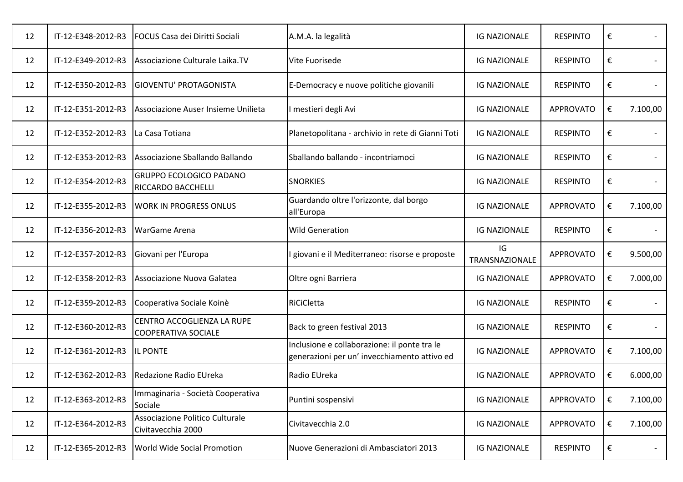| 12 | IT-12-E348-2012-R3 | FOCUS Casa dei Diritti Sociali                              | A.M.A. la legalità                                                                           | <b>IG NAZIONALE</b>  | <b>RESPINTO</b>  | €                       |          |
|----|--------------------|-------------------------------------------------------------|----------------------------------------------------------------------------------------------|----------------------|------------------|-------------------------|----------|
| 12 | IT-12-E349-2012-R3 | Associazione Culturale Laika.TV                             | Vite Fuorisede                                                                               | <b>IG NAZIONALE</b>  | <b>RESPINTO</b>  | €                       |          |
| 12 | IT-12-E350-2012-R3 | <b>GIOVENTU' PROTAGONISTA</b>                               | E-Democracy e nuove politiche giovanili                                                      | <b>IG NAZIONALE</b>  | <b>RESPINTO</b>  | €                       |          |
| 12 | IT-12-E351-2012-R3 | Associazione Auser Insieme Unilieta                         | I mestieri degli Avi                                                                         | <b>IG NAZIONALE</b>  | <b>APPROVATO</b> | €                       | 7.100,00 |
| 12 | IT-12-E352-2012-R3 | La Casa Totiana                                             | Planetopolitana - archivio in rete di Gianni Toti                                            | <b>IG NAZIONALE</b>  | <b>RESPINTO</b>  | €                       |          |
| 12 | IT-12-E353-2012-R3 | Associazione Sballando Ballando                             | Sballando ballando - incontriamoci                                                           | <b>IG NAZIONALE</b>  | <b>RESPINTO</b>  | $\boldsymbol{\epsilon}$ |          |
| 12 | IT-12-E354-2012-R3 | <b>GRUPPO ECOLOGICO PADANO</b><br><b>RICCARDO BACCHELLI</b> | <b>SNORKIES</b>                                                                              | <b>IG NAZIONALE</b>  | <b>RESPINTO</b>  | €                       |          |
| 12 | IT-12-E355-2012-R3 | <b>WORK IN PROGRESS ONLUS</b>                               | Guardando oltre l'orizzonte, dal borgo<br>all'Europa                                         | <b>IG NAZIONALE</b>  | <b>APPROVATO</b> | €                       | 7.100,00 |
| 12 | IT-12-E356-2012-R3 | <b>WarGame Arena</b>                                        | <b>Wild Generation</b>                                                                       | <b>IG NAZIONALE</b>  | <b>RESPINTO</b>  | €                       |          |
|    |                    |                                                             |                                                                                              |                      |                  |                         |          |
| 12 | IT-12-E357-2012-R3 | Giovani per l'Europa                                        | giovani e il Mediterraneo: risorse e proposte                                                | IG<br>TRANSNAZIONALE | <b>APPROVATO</b> | €                       | 9.500,00 |
| 12 | IT-12-E358-2012-R3 | Associazione Nuova Galatea                                  | Oltre ogni Barriera                                                                          | <b>IG NAZIONALE</b>  | <b>APPROVATO</b> | €                       | 7.000,00 |
| 12 | IT-12-E359-2012-R3 | Cooperativa Sociale Koinè                                   | RiCiCletta                                                                                   | <b>IG NAZIONALE</b>  | <b>RESPINTO</b>  | €                       |          |
| 12 | IT-12-E360-2012-R3 | CENTRO ACCOGLIENZA LA RUPE<br><b>COOPERATIVA SOCIALE</b>    | Back to green festival 2013                                                                  | <b>IG NAZIONALE</b>  | <b>RESPINTO</b>  | €                       |          |
| 12 | IT-12-E361-2012-R3 | <b>IL PONTE</b>                                             | Inclusione e collaborazione: il ponte tra le<br>generazioni per un' invecchiamento attivo ed | <b>IG NAZIONALE</b>  | <b>APPROVATO</b> | €                       | 7.100,00 |
| 12 | IT-12-E362-2012-R3 | Redazione Radio EUreka                                      | Radio EUreka                                                                                 | <b>IG NAZIONALE</b>  | <b>APPROVATO</b> | €                       | 6.000,00 |
| 12 | IT-12-E363-2012-R3 | Immaginaria - Società Cooperativa<br>Sociale                | Puntini sospensivi                                                                           | <b>IG NAZIONALE</b>  | <b>APPROVATO</b> | €                       | 7.100,00 |
| 12 | IT-12-E364-2012-R3 | Associazione Politico Culturale<br>Civitavecchia 2000       | Civitavecchia 2.0                                                                            | <b>IG NAZIONALE</b>  | <b>APPROVATO</b> | €                       | 7.100,00 |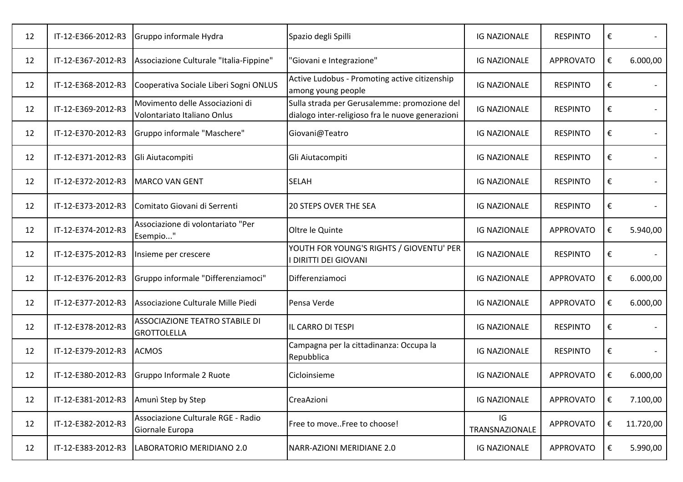| 12 | IT-12-E366-2012-R3 | Gruppo informale Hydra                                         | Spazio degli Spilli                                                                              | <b>IG NAZIONALE</b>  | <b>RESPINTO</b>  | € |           |
|----|--------------------|----------------------------------------------------------------|--------------------------------------------------------------------------------------------------|----------------------|------------------|---|-----------|
| 12 | IT-12-E367-2012-R3 | Associazione Culturale "Italia-Fippine"                        | 'Giovani e Integrazione"                                                                         | <b>IG NAZIONALE</b>  | <b>APPROVATO</b> | € | 6.000,00  |
| 12 | IT-12-E368-2012-R3 | Cooperativa Sociale Liberi Sogni ONLUS                         | Active Ludobus - Promoting active citizenship<br>among young people                              | <b>IG NAZIONALE</b>  | <b>RESPINTO</b>  | € |           |
| 12 | IT-12-E369-2012-R3 | Movimento delle Associazioni di<br>Volontariato Italiano Onlus | Sulla strada per Gerusalemme: promozione del<br>dialogo inter-religioso fra le nuove generazioni | <b>IG NAZIONALE</b>  | <b>RESPINTO</b>  | € |           |
| 12 | IT-12-E370-2012-R3 | Gruppo informale "Maschere"                                    | Giovani@Teatro                                                                                   | <b>IG NAZIONALE</b>  | <b>RESPINTO</b>  | € |           |
| 12 | IT-12-E371-2012-R3 | Gli Aiutacompiti                                               | Gli Aiutacompiti                                                                                 | <b>IG NAZIONALE</b>  | <b>RESPINTO</b>  | € |           |
| 12 | IT-12-E372-2012-R3 | MARCO VAN GENT                                                 | <b>SELAH</b>                                                                                     | <b>IG NAZIONALE</b>  | <b>RESPINTO</b>  | € |           |
| 12 | IT-12-E373-2012-R3 | Comitato Giovani di Serrenti                                   | <b>20 STEPS OVER THE SEA</b>                                                                     | <b>IG NAZIONALE</b>  | <b>RESPINTO</b>  | € |           |
| 12 | IT-12-E374-2012-R3 | Associazione di volontariato "Per<br>Esempio"                  | Oltre le Quinte                                                                                  | <b>IG NAZIONALE</b>  | <b>APPROVATO</b> | € | 5.940,00  |
| 12 | IT-12-E375-2012-R3 | Insieme per crescere                                           | YOUTH FOR YOUNG'S RIGHTS / GIOVENTU' PER<br><b>DIRITTI DEI GIOVANI</b>                           | <b>IG NAZIONALE</b>  | <b>RESPINTO</b>  | € |           |
| 12 | IT-12-E376-2012-R3 | Gruppo informale "Differenziamoci"                             | Differenziamoci                                                                                  | <b>IG NAZIONALE</b>  | <b>APPROVATO</b> | € | 6.000,00  |
| 12 | IT-12-E377-2012-R3 | Associazione Culturale Mille Piedi                             | Pensa Verde                                                                                      | <b>IG NAZIONALE</b>  | <b>APPROVATO</b> | € | 6.000,00  |
| 12 | IT-12-E378-2012-R3 | ASSOCIAZIONE TEATRO STABILE DI<br><b>GROTTOLELLA</b>           | IL CARRO DI TESPI                                                                                | <b>IG NAZIONALE</b>  | <b>RESPINTO</b>  | € |           |
| 12 | IT-12-E379-2012-R3 | <b>ACMOS</b>                                                   | Campagna per la cittadinanza: Occupa la<br>Repubblica                                            | <b>IG NAZIONALE</b>  | <b>RESPINTO</b>  | € |           |
| 12 | IT-12-E380-2012-R3 | Gruppo Informale 2 Ruote                                       | Cicloinsieme                                                                                     | <b>IG NAZIONALE</b>  | <b>APPROVATO</b> | € | 6.000,00  |
| 12 | IT-12-E381-2012-R3 | Amuni Step by Step                                             | CreaAzioni                                                                                       | <b>IG NAZIONALE</b>  | <b>APPROVATO</b> | € | 7.100,00  |
| 12 | IT-12-E382-2012-R3 | Associazione Culturale RGE - Radio<br>Giornale Europa          | Free to moveFree to choose!                                                                      | IG<br>TRANSNAZIONALE | <b>APPROVATO</b> | € | 11.720,00 |
| 12 | IT-12-E383-2012-R3 | LABORATORIO MERIDIANO 2.0                                      | NARR-AZIONI MERIDIANE 2.0                                                                        | <b>IG NAZIONALE</b>  | <b>APPROVATO</b> | € | 5.990,00  |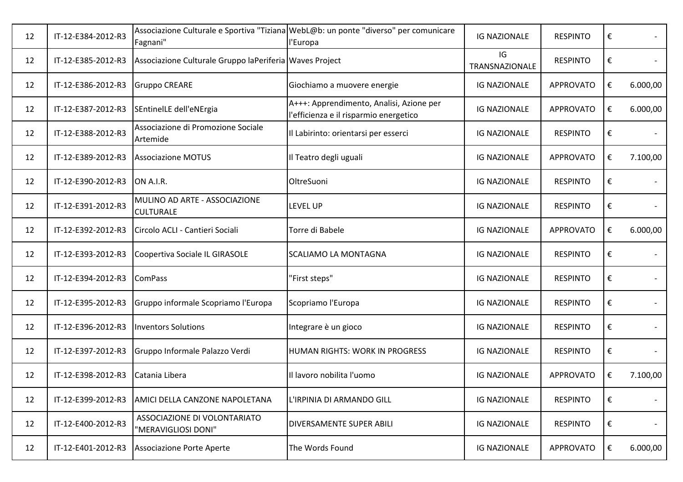| 12 | IT-12-E384-2012-R3 | Fagnani"                                                | Associazione Culturale e Sportiva "Tiziana WebL@b: un ponte "diverso" per comunicare<br>l'Europa | <b>IG NAZIONALE</b>  | <b>RESPINTO</b>  | €                       |          |
|----|--------------------|---------------------------------------------------------|--------------------------------------------------------------------------------------------------|----------------------|------------------|-------------------------|----------|
| 12 | IT-12-E385-2012-R3 | Associazione Culturale Gruppo laPeriferia Waves Project |                                                                                                  | IG<br>TRANSNAZIONALE | <b>RESPINTO</b>  | €                       |          |
| 12 | IT-12-E386-2012-R3 | <b>Gruppo CREARE</b>                                    | Giochiamo a muovere energie                                                                      | <b>IG NAZIONALE</b>  | <b>APPROVATO</b> | €                       | 6.000,00 |
| 12 | IT-12-E387-2012-R3 | SEntinelLE dell'eNErgia                                 | A+++: Apprendimento, Analisi, Azione per<br>l'efficienza e il risparmio energetico               | <b>IG NAZIONALE</b>  | <b>APPROVATO</b> | €                       | 6.000,00 |
| 12 | IT-12-E388-2012-R3 | Associazione di Promozione Sociale<br>Artemide          | Il Labirinto: orientarsi per esserci                                                             | <b>IG NAZIONALE</b>  | <b>RESPINTO</b>  | €                       |          |
| 12 | IT-12-E389-2012-R3 | <b>Associazione MOTUS</b>                               | Il Teatro degli uguali                                                                           | <b>IG NAZIONALE</b>  | <b>APPROVATO</b> | €                       | 7.100,00 |
| 12 | IT-12-E390-2012-R3 | ON A.I.R.                                               | OltreSuoni                                                                                       | <b>IG NAZIONALE</b>  | <b>RESPINTO</b>  | €                       |          |
| 12 | IT-12-E391-2012-R3 | MULINO AD ARTE - ASSOCIAZIONE<br><b>CULTURALE</b>       | LEVEL UP                                                                                         | <b>IG NAZIONALE</b>  | <b>RESPINTO</b>  | €                       |          |
| 12 | IT-12-E392-2012-R3 | Circolo ACLI - Cantieri Sociali                         | Torre di Babele                                                                                  | <b>IG NAZIONALE</b>  | <b>APPROVATO</b> | $\boldsymbol{\epsilon}$ | 6.000,00 |
| 12 | IT-12-E393-2012-R3 | Coopertiva Sociale IL GIRASOLE                          | <b>SCALIAMO LA MONTAGNA</b>                                                                      | <b>IG NAZIONALE</b>  | <b>RESPINTO</b>  | €                       |          |
| 12 | IT-12-E394-2012-R3 | <b>ComPass</b>                                          | "First steps"                                                                                    | <b>IG NAZIONALE</b>  | <b>RESPINTO</b>  | €                       |          |
| 12 | IT-12-E395-2012-R3 | Gruppo informale Scopriamo l'Europa                     | Scopriamo l'Europa                                                                               | <b>IG NAZIONALE</b>  | <b>RESPINTO</b>  | €                       |          |
| 12 | IT-12-E396-2012-R3 | <b>Inventors Solutions</b>                              | Integrare è un gioco                                                                             | <b>IG NAZIONALE</b>  | <b>RESPINTO</b>  | €                       |          |
| 12 | IT-12-E397-2012-R3 | Gruppo Informale Palazzo Verdi                          | HUMAN RIGHTS: WORK IN PROGRESS                                                                   | <b>IG NAZIONALE</b>  | <b>RESPINTO</b>  | €                       |          |
| 12 | IT-12-E398-2012-R3 | Catania Libera                                          | Il lavoro nobilita l'uomo                                                                        | <b>IG NAZIONALE</b>  | <b>APPROVATO</b> | €                       | 7.100,00 |
| 12 | IT-12-E399-2012-R3 | AMICI DELLA CANZONE NAPOLETANA                          | L'IRPINIA DI ARMANDO GILL                                                                        | <b>IG NAZIONALE</b>  | <b>RESPINTO</b>  | €                       |          |
| 12 | IT-12-E400-2012-R3 | ASSOCIAZIONE DI VOLONTARIATO<br>"MERAVIGLIOSI DONI"     | DIVERSAMENTE SUPER ABILI                                                                         | <b>IG NAZIONALE</b>  | <b>RESPINTO</b>  | €                       | $\sim$   |
| 12 | IT-12-E401-2012-R3 | Associazione Porte Aperte                               | The Words Found                                                                                  | <b>IG NAZIONALE</b>  | <b>APPROVATO</b> | €                       | 6.000,00 |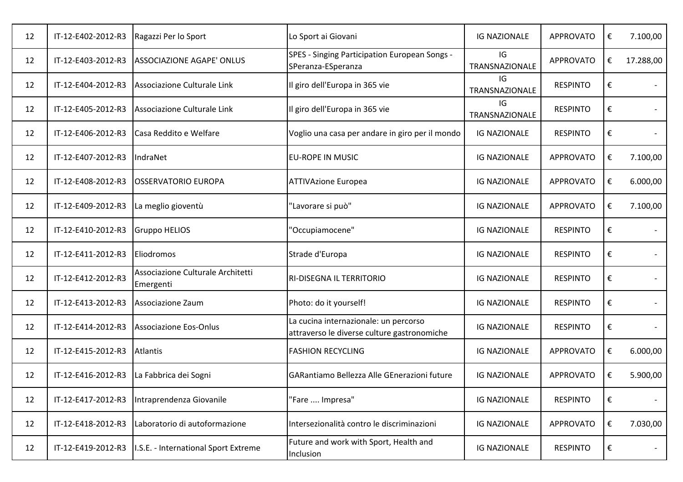| 12 | IT-12-E402-2012-R3 | Ragazzi Per lo Sport                           | Lo Sport ai Giovani                                                                  | <b>IG NAZIONALE</b>  | <b>APPROVATO</b> | € | 7.100,00  |
|----|--------------------|------------------------------------------------|--------------------------------------------------------------------------------------|----------------------|------------------|---|-----------|
| 12 | IT-12-E403-2012-R3 | <b>ASSOCIAZIONE AGAPE' ONLUS</b>               | SPES - Singing Participation European Songs -<br>SPeranza-ESperanza                  | IG<br>TRANSNAZIONALE | <b>APPROVATO</b> | € | 17.288,00 |
| 12 | IT-12-E404-2012-R3 | Associazione Culturale Link                    | Il giro dell'Europa in 365 vie                                                       | IG<br>TRANSNAZIONALE | <b>RESPINTO</b>  | € |           |
| 12 | IT-12-E405-2012-R3 | Associazione Culturale Link                    | Il giro dell'Europa in 365 vie                                                       | IG<br>TRANSNAZIONALE | <b>RESPINTO</b>  | € |           |
| 12 | IT-12-E406-2012-R3 | Casa Reddito e Welfare                         | Voglio una casa per andare in giro per il mondo                                      | <b>IG NAZIONALE</b>  | <b>RESPINTO</b>  | € |           |
| 12 | IT-12-E407-2012-R3 | IndraNet                                       | <b>EU-ROPE IN MUSIC</b>                                                              | <b>IG NAZIONALE</b>  | <b>APPROVATO</b> | € | 7.100,00  |
| 12 | IT-12-E408-2012-R3 | OSSERVATORIO EUROPA                            | <b>ATTIVAzione Europea</b>                                                           | <b>IG NAZIONALE</b>  | <b>APPROVATO</b> | € | 6.000,00  |
| 12 | IT-12-E409-2012-R3 | La meglio gioventù                             | 'Lavorare si può"                                                                    | <b>IG NAZIONALE</b>  | <b>APPROVATO</b> | € | 7.100,00  |
| 12 | IT-12-E410-2012-R3 | <b>Gruppo HELIOS</b>                           | 'Occupiamocene"                                                                      | <b>IG NAZIONALE</b>  | <b>RESPINTO</b>  | € |           |
| 12 | IT-12-E411-2012-R3 | Eliodromos                                     | Strade d'Europa                                                                      | <b>IG NAZIONALE</b>  | <b>RESPINTO</b>  | € |           |
| 12 | IT-12-E412-2012-R3 | Associazione Culturale Architetti<br>Emergenti | <b>RI-DISEGNA IL TERRITORIO</b>                                                      | <b>IG NAZIONALE</b>  | <b>RESPINTO</b>  | € |           |
| 12 | IT-12-E413-2012-R3 | Associazione Zaum                              | Photo: do it yourself!                                                               | <b>IG NAZIONALE</b>  | <b>RESPINTO</b>  | € |           |
| 12 | IT-12-E414-2012-R3 | Associazione Eos-Onlus                         | La cucina internazionale: un percorso<br>attraverso le diverse culture gastronomiche | <b>IG NAZIONALE</b>  | <b>RESPINTO</b>  | € |           |
| 12 | IT-12-E415-2012-R3 | <b>Atlantis</b>                                | <b>FASHION RECYCLING</b>                                                             | <b>IG NAZIONALE</b>  | <b>APPROVATO</b> | € | 6.000,00  |
| 12 | IT-12-E416-2012-R3 | La Fabbrica dei Sogni                          | GARantiamo Bellezza Alle GEnerazioni future                                          | <b>IG NAZIONALE</b>  | <b>APPROVATO</b> | € | 5.900,00  |
| 12 | IT-12-E417-2012-R3 | Intraprendenza Giovanile                       | 'Fare  Impresa"                                                                      | <b>IG NAZIONALE</b>  | <b>RESPINTO</b>  | € |           |
| 12 | IT-12-E418-2012-R3 | Laboratorio di autoformazione                  | Intersezionalità contro le discriminazioni                                           | <b>IG NAZIONALE</b>  | <b>APPROVATO</b> | € | 7.030,00  |
| 12 | IT-12-E419-2012-R3 | I.S.E. - International Sport Extreme           | Future and work with Sport, Health and<br>Inclusion                                  | <b>IG NAZIONALE</b>  | <b>RESPINTO</b>  | € |           |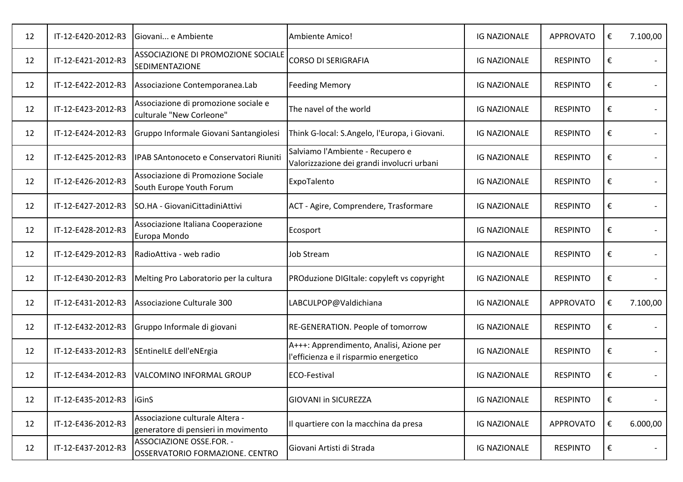| 12 | IT-12-E420-2012-R3 | Giovani e Ambiente                                                     | Ambiente Amico!                                                                    | <b>IG NAZIONALE</b> | <b>APPROVATO</b> | € | 7.100,00 |
|----|--------------------|------------------------------------------------------------------------|------------------------------------------------------------------------------------|---------------------|------------------|---|----------|
| 12 | IT-12-E421-2012-R3 | ASSOCIAZIONE DI PROMOZIONE SOCIALE<br><b>SEDIMENTAZIONE</b>            | <b>CORSO DI SERIGRAFIA</b>                                                         | <b>IG NAZIONALE</b> | <b>RESPINTO</b>  | € |          |
| 12 | IT-12-E422-2012-R3 | Associazione Contemporanea.Lab                                         | <b>Feeding Memory</b>                                                              | <b>IG NAZIONALE</b> | <b>RESPINTO</b>  | € |          |
| 12 | IT-12-E423-2012-R3 | Associazione di promozione sociale e<br>culturale "New Corleone"       | The navel of the world                                                             | <b>IG NAZIONALE</b> | <b>RESPINTO</b>  | € |          |
| 12 | IT-12-E424-2012-R3 | Gruppo Informale Giovani Santangiolesi                                 | Think G-local: S.Angelo, l'Europa, i Giovani.                                      | <b>IG NAZIONALE</b> | <b>RESPINTO</b>  | € |          |
| 12 | IT-12-E425-2012-R3 | IPAB SAntonoceto e Conservatori Riuniti                                | Salviamo l'Ambiente - Recupero e<br>Valorizzazione dei grandi involucri urbani     | <b>IG NAZIONALE</b> | <b>RESPINTO</b>  | € |          |
| 12 | IT-12-E426-2012-R3 | Associazione di Promozione Sociale<br>South Europe Youth Forum         | ExpoTalento                                                                        | <b>IG NAZIONALE</b> | <b>RESPINTO</b>  | € |          |
| 12 | IT-12-E427-2012-R3 | SO.HA - GiovaniCittadiniAttivi                                         | ACT - Agire, Comprendere, Trasformare                                              | <b>IG NAZIONALE</b> | <b>RESPINTO</b>  | € |          |
| 12 | IT-12-E428-2012-R3 | Associazione Italiana Cooperazione<br>Europa Mondo                     | Ecosport                                                                           | <b>IG NAZIONALE</b> | <b>RESPINTO</b>  | € |          |
| 12 | IT-12-E429-2012-R3 | RadioAttiva - web radio                                                | <b>Job Stream</b>                                                                  | <b>IG NAZIONALE</b> | <b>RESPINTO</b>  | € |          |
| 12 | IT-12-E430-2012-R3 | Melting Pro Laboratorio per la cultura                                 | PROduzione DIGItale: copyleft vs copyright                                         | <b>IG NAZIONALE</b> | <b>RESPINTO</b>  | € |          |
| 12 | IT-12-E431-2012-R3 | Associazione Culturale 300                                             | LABCULPOP@Valdichiana                                                              | <b>IG NAZIONALE</b> | <b>APPROVATO</b> | € | 7.100,00 |
| 12 | IT-12-E432-2012-R3 | Gruppo Informale di giovani                                            | RE-GENERATION. People of tomorrow                                                  | <b>IG NAZIONALE</b> | <b>RESPINTO</b>  | € |          |
| 12 | IT-12-E433-2012-R3 | SEntinelLE dell'eNErgia                                                | A+++: Apprendimento, Analisi, Azione per<br>l'efficienza e il risparmio energetico | <b>IG NAZIONALE</b> | <b>RESPINTO</b>  | € |          |
| 12 | IT-12-E434-2012-R3 | VALCOMINO INFORMAL GROUP                                               | ECO-Festival                                                                       | <b>IG NAZIONALE</b> | <b>RESPINTO</b>  | € |          |
| 12 | IT-12-E435-2012-R3 | <b>iGinS</b>                                                           | <b>GIOVANI in SICUREZZA</b>                                                        | <b>IG NAZIONALE</b> | <b>RESPINTO</b>  | € |          |
| 12 | IT-12-E436-2012-R3 | Associazione culturale Altera -<br>generatore di pensieri in movimento | Il quartiere con la macchina da presa                                              | <b>IG NAZIONALE</b> | APPROVATO        | € | 6.000,00 |
| 12 | IT-12-E437-2012-R3 | ASSOCIAZIONE OSSE.FOR. -<br>OSSERVATORIO FORMAZIONE. CENTRO            | Giovani Artisti di Strada                                                          | <b>IG NAZIONALE</b> | <b>RESPINTO</b>  | € |          |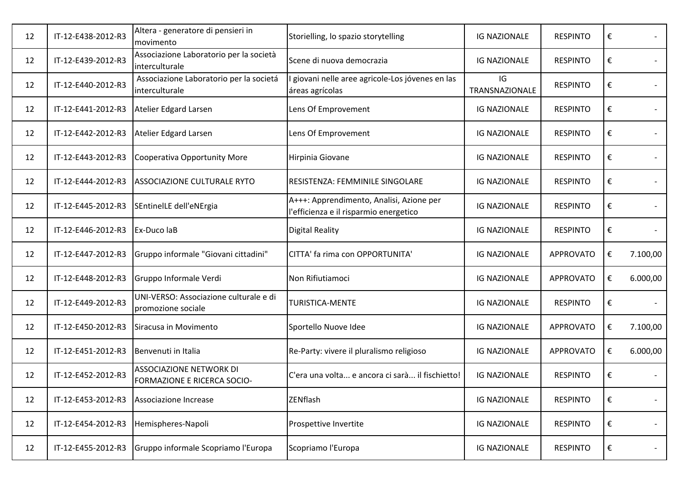| 12 | IT-12-E438-2012-R3 | Altera - generatore di pensieri in<br>movimento                      | Storielling, lo spazio storytelling                                                | <b>IG NAZIONALE</b>  | <b>RESPINTO</b>  | € |                          |
|----|--------------------|----------------------------------------------------------------------|------------------------------------------------------------------------------------|----------------------|------------------|---|--------------------------|
| 12 | IT-12-E439-2012-R3 | Associazione Laboratorio per la società<br>interculturale            | Scene di nuova democrazia                                                          | <b>IG NAZIONALE</b>  | <b>RESPINTO</b>  | € |                          |
| 12 | IT-12-E440-2012-R3 | Associazione Laboratorio per la societá<br>interculturale            | giovani nelle aree agricole-Los jóvenes en las<br>áreas agrícolas                  | IG<br>TRANSNAZIONALE | <b>RESPINTO</b>  | € |                          |
| 12 | IT-12-E441-2012-R3 | Atelier Edgard Larsen                                                | Lens Of Emprovement                                                                | <b>IG NAZIONALE</b>  | <b>RESPINTO</b>  | € |                          |
| 12 | IT-12-E442-2012-R3 | Atelier Edgard Larsen                                                | Lens Of Emprovement                                                                | <b>IG NAZIONALE</b>  | <b>RESPINTO</b>  | € |                          |
| 12 | IT-12-E443-2012-R3 | Cooperativa Opportunity More                                         | Hirpinia Giovane                                                                   | <b>IG NAZIONALE</b>  | <b>RESPINTO</b>  | € |                          |
| 12 | IT-12-E444-2012-R3 | <b>ASSOCIAZIONE CULTURALE RYTO</b>                                   | RESISTENZA: FEMMINILE SINGOLARE                                                    | <b>IG NAZIONALE</b>  | <b>RESPINTO</b>  | € |                          |
| 12 | IT-12-E445-2012-R3 | SEntinelLE dell'eNErgia                                              | A+++: Apprendimento, Analisi, Azione per<br>l'efficienza e il risparmio energetico | <b>IG NAZIONALE</b>  | <b>RESPINTO</b>  | € |                          |
| 12 | IT-12-E446-2012-R3 | Ex-Duco laB                                                          | <b>Digital Reality</b>                                                             | <b>IG NAZIONALE</b>  | <b>RESPINTO</b>  | € |                          |
| 12 | IT-12-E447-2012-R3 | Gruppo informale "Giovani cittadini"                                 | CITTA' fa rima con OPPORTUNITA'                                                    | <b>IG NAZIONALE</b>  | <b>APPROVATO</b> | € | 7.100,00                 |
| 12 | IT-12-E448-2012-R3 | Gruppo Informale Verdi                                               | Non Rifiutiamoci                                                                   | <b>IG NAZIONALE</b>  | <b>APPROVATO</b> | € | 6.000,00                 |
| 12 | IT-12-E449-2012-R3 | UNI-VERSO: Associazione culturale e di<br>promozione sociale         | <b>TURISTICA-MENTE</b>                                                             | <b>IG NAZIONALE</b>  | <b>RESPINTO</b>  | € |                          |
| 12 | IT-12-E450-2012-R3 | Siracusa in Movimento                                                | Sportello Nuove Idee                                                               | <b>IG NAZIONALE</b>  | <b>APPROVATO</b> | € | 7.100,00                 |
| 12 | IT-12-E451-2012-R3 | Benvenuti in Italia                                                  | Re-Party: vivere il pluralismo religioso                                           | <b>IG NAZIONALE</b>  | <b>APPROVATO</b> | € | 6.000,00                 |
| 12 | IT-12-E452-2012-R3 | <b>ASSOCIAZIONE NETWORK DI</b><br><b>FORMAZIONE E RICERCA SOCIO-</b> | C'era una volta e ancora ci sarà il fischietto!                                    | <b>IG NAZIONALE</b>  | <b>RESPINTO</b>  | € |                          |
| 12 | IT-12-E453-2012-R3 | Associazione Increase                                                | ZENflash                                                                           | <b>IG NAZIONALE</b>  | <b>RESPINTO</b>  | € |                          |
| 12 | IT-12-E454-2012-R3 | Hemispheres-Napoli                                                   | Prospettive Invertite                                                              | <b>IG NAZIONALE</b>  | <b>RESPINTO</b>  | € | $\overline{\phantom{a}}$ |
| 12 | IT-12-E455-2012-R3 | Gruppo informale Scopriamo l'Europa                                  | Scopriamo l'Europa                                                                 | <b>IG NAZIONALE</b>  | <b>RESPINTO</b>  | € |                          |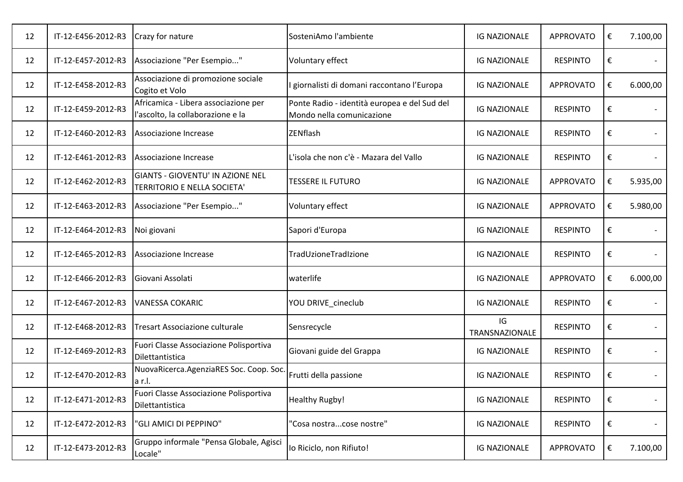| 12 | IT-12-E456-2012-R3 | Crazy for nature                                                          | SosteniAmo l'ambiente                                                     | <b>IG NAZIONALE</b>  | <b>APPROVATO</b> | € | 7.100,00 |
|----|--------------------|---------------------------------------------------------------------------|---------------------------------------------------------------------------|----------------------|------------------|---|----------|
| 12 | IT-12-E457-2012-R3 | Associazione "Per Esempio"                                                | Voluntary effect                                                          | <b>IG NAZIONALE</b>  | <b>RESPINTO</b>  | € |          |
| 12 | IT-12-E458-2012-R3 | Associazione di promozione sociale<br>Cogito et Volo                      | giornalisti di domani raccontano l'Europa                                 | <b>IG NAZIONALE</b>  | APPROVATO        | € | 6.000,00 |
| 12 | IT-12-E459-2012-R3 | Africamica - Libera associazione per<br>l'ascolto, la collaborazione e la | Ponte Radio - identità europea e del Sud del<br>Mondo nella comunicazione | <b>IG NAZIONALE</b>  | <b>RESPINTO</b>  | € |          |
| 12 | IT-12-E460-2012-R3 | Associazione Increase                                                     | ZENflash                                                                  | <b>IG NAZIONALE</b>  | <b>RESPINTO</b>  | € |          |
| 12 | IT-12-E461-2012-R3 | Associazione Increase                                                     | L'isola che non c'è - Mazara del Vallo                                    | <b>IG NAZIONALE</b>  | <b>RESPINTO</b>  | € |          |
| 12 | IT-12-E462-2012-R3 | GIANTS - GIOVENTU' IN AZIONE NEL<br>TERRITORIO E NELLA SOCIETA'           | <b>TESSERE IL FUTURO</b>                                                  | <b>IG NAZIONALE</b>  | APPROVATO        | € | 5.935,00 |
| 12 | IT-12-E463-2012-R3 | Associazione "Per Esempio"                                                | Voluntary effect                                                          | <b>IG NAZIONALE</b>  | <b>APPROVATO</b> | € | 5.980,00 |
| 12 | IT-12-E464-2012-R3 | Noi giovani                                                               | Sapori d'Europa                                                           | <b>IG NAZIONALE</b>  | <b>RESPINTO</b>  | € |          |
| 12 | IT-12-E465-2012-R3 | Associazione Increase                                                     | TradUzioneTradIzione                                                      | <b>IG NAZIONALE</b>  | <b>RESPINTO</b>  | € |          |
| 12 | IT-12-E466-2012-R3 | Giovani Assolati                                                          | waterlife                                                                 | <b>IG NAZIONALE</b>  | <b>APPROVATO</b> | € | 6.000,00 |
| 12 | IT-12-E467-2012-R3 | <b>VANESSA COKARIC</b>                                                    | YOU DRIVE_cineclub                                                        | <b>IG NAZIONALE</b>  | <b>RESPINTO</b>  | € |          |
| 12 | IT-12-E468-2012-R3 | Tresart Associazione culturale                                            | Sensrecycle                                                               | IG<br>TRANSNAZIONALE | <b>RESPINTO</b>  | € |          |
| 12 | IT-12-E469-2012-R3 | Fuori Classe Associazione Polisportiva<br>Dilettantistica                 | Giovani guide del Grappa                                                  | <b>IG NAZIONALE</b>  | <b>RESPINTO</b>  | € |          |
| 12 | IT-12-E470-2012-R3 | NuovaRicerca.AgenziaRES Soc. Coop. Soc.<br>a r.l.                         | Frutti della passione                                                     | <b>IG NAZIONALE</b>  | <b>RESPINTO</b>  | € |          |
| 12 | IT-12-E471-2012-R3 | Fuori Classe Associazione Polisportiva<br>Dilettantistica                 | <b>Healthy Rugby!</b>                                                     | <b>IG NAZIONALE</b>  | <b>RESPINTO</b>  | € |          |
| 12 | IT-12-E472-2012-R3 | "GLI AMICI DI PEPPINO"                                                    | 'Cosa nostracose nostre"                                                  | <b>IG NAZIONALE</b>  | <b>RESPINTO</b>  | € |          |
| 12 | IT-12-E473-2012-R3 | Gruppo informale "Pensa Globale, Agisci<br>Locale"                        | lo Riciclo, non Rifiuto!                                                  | <b>IG NAZIONALE</b>  | <b>APPROVATO</b> | € | 7.100,00 |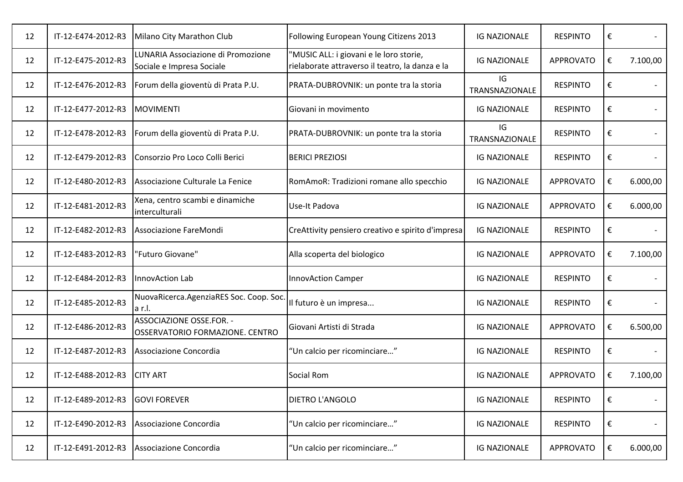| 12 | IT-12-E474-2012-R3 | Milano City Marathon Club                                       | Following European Young Citizens 2013                                                     | <b>IG NAZIONALE</b>  | <b>RESPINTO</b>  | € |          |
|----|--------------------|-----------------------------------------------------------------|--------------------------------------------------------------------------------------------|----------------------|------------------|---|----------|
| 12 | IT-12-E475-2012-R3 | LUNARIA Associazione di Promozione<br>Sociale e Impresa Sociale | 'MUSIC ALL: i giovani e le loro storie,<br>rielaborate attraverso il teatro, la danza e la | <b>IG NAZIONALE</b>  | <b>APPROVATO</b> | € | 7.100,00 |
| 12 | IT-12-E476-2012-R3 | Forum della gioventù di Prata P.U.                              | PRATA-DUBROVNIK: un ponte tra la storia                                                    | IG<br>TRANSNAZIONALE | <b>RESPINTO</b>  | € |          |
| 12 | IT-12-E477-2012-R3 | <b>MOVIMENTI</b>                                                | Giovani in movimento                                                                       | <b>IG NAZIONALE</b>  | <b>RESPINTO</b>  | € |          |
| 12 | IT-12-E478-2012-R3 | Forum della gioventù di Prata P.U.                              | PRATA-DUBROVNIK: un ponte tra la storia                                                    | IG<br>TRANSNAZIONALE | <b>RESPINTO</b>  | € |          |
| 12 | IT-12-E479-2012-R3 | Consorzio Pro Loco Colli Berici                                 | <b>BERICI PREZIOSI</b>                                                                     | <b>IG NAZIONALE</b>  | <b>RESPINTO</b>  | € |          |
| 12 | IT-12-E480-2012-R3 | Associazione Culturale La Fenice                                | RomAmoR: Tradizioni romane allo specchio                                                   | <b>IG NAZIONALE</b>  | <b>APPROVATO</b> | € | 6.000,00 |
| 12 | IT-12-E481-2012-R3 | Xena, centro scambi e dinamiche<br>interculturali               | Use-It Padova                                                                              | <b>IG NAZIONALE</b>  | <b>APPROVATO</b> | € | 6.000,00 |
| 12 | IT-12-E482-2012-R3 | Associazione FareMondi                                          | CreAttivity pensiero creativo e spirito d'impresa                                          | <b>IG NAZIONALE</b>  | <b>RESPINTO</b>  | € |          |
| 12 | IT-12-E483-2012-R3 | 'Futuro Giovane"                                                | Alla scoperta del biologico                                                                | <b>IG NAZIONALE</b>  | <b>APPROVATO</b> | € | 7.100,00 |
| 12 | IT-12-E484-2012-R3 | InnovAction Lab                                                 | <b>InnovAction Camper</b>                                                                  | <b>IG NAZIONALE</b>  | <b>RESPINTO</b>  | € |          |
| 12 | IT-12-E485-2012-R3 | NuovaRicerca.AgenziaRES Soc. Coop. Soc.<br>la r.l.              | Il futuro è un impresa                                                                     | <b>IG NAZIONALE</b>  | <b>RESPINTO</b>  | € |          |
| 12 | IT-12-E486-2012-R3 | ASSOCIAZIONE OSSE.FOR. -<br>OSSERVATORIO FORMAZIONE. CENTRO     | Giovani Artisti di Strada                                                                  | <b>IG NAZIONALE</b>  | <b>APPROVATO</b> | € | 6.500,00 |
| 12 | IT-12-E487-2012-R3 | Associazione Concordia                                          | "Un calcio per ricominciare"                                                               | <b>IG NAZIONALE</b>  | <b>RESPINTO</b>  | € |          |
| 12 | IT-12-E488-2012-R3 | <b>CITY ART</b>                                                 | Social Rom                                                                                 | <b>IG NAZIONALE</b>  | <b>APPROVATO</b> | € | 7.100,00 |
| 12 | IT-12-E489-2012-R3 | <b>GOVI FOREVER</b>                                             | <b>DIETRO L'ANGOLO</b>                                                                     | <b>IG NAZIONALE</b>  | <b>RESPINTO</b>  | € |          |
| 12 | IT-12-E490-2012-R3 | Associazione Concordia                                          | "Un calcio per ricominciare"                                                               | <b>IG NAZIONALE</b>  | <b>RESPINTO</b>  | € |          |
| 12 | IT-12-E491-2012-R3 | Associazione Concordia                                          | "Un calcio per ricominciare"                                                               | <b>IG NAZIONALE</b>  | <b>APPROVATO</b> | € | 6.000,00 |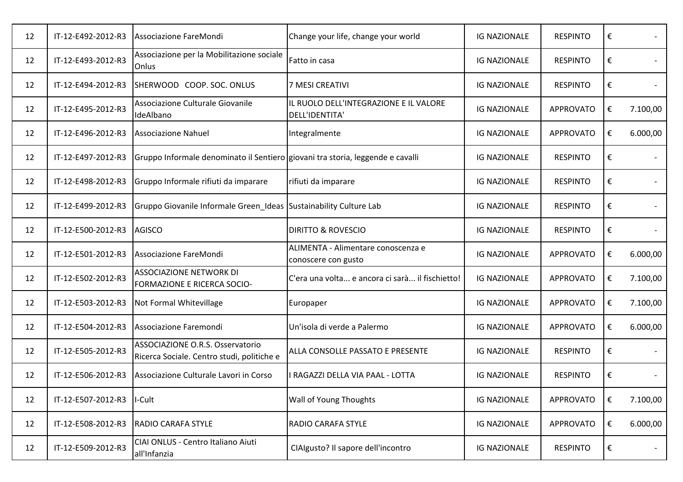| 12 | IT-12-E492-2012-R3 | Associazione FareMondi                                                                | Change your life, change your world                       | <b>IG NAZIONALE</b> | <b>RESPINTO</b>  | €                       |          |
|----|--------------------|---------------------------------------------------------------------------------------|-----------------------------------------------------------|---------------------|------------------|-------------------------|----------|
| 12 | IT-12-E493-2012-R3 | Associazione per la Mobilitazione sociale<br>Onlus                                    | Fatto in casa                                             | <b>IG NAZIONALE</b> | <b>RESPINTO</b>  | €                       |          |
| 12 | IT-12-E494-2012-R3 | SHERWOOD COOP. SOC. ONLUS                                                             | 7 MESI CREATIVI                                           | <b>IG NAZIONALE</b> | <b>RESPINTO</b>  | €                       |          |
| 12 | IT-12-E495-2012-R3 | Associazione Culturale Giovanile<br>IdeAlbano                                         | IL RUOLO DELL'INTEGRAZIONE E IL VALORE<br>DELL'IDENTITA'  | <b>IG NAZIONALE</b> | <b>APPROVATO</b> | €                       | 7.100,00 |
| 12 | IT-12-E496-2012-R3 | <b>Associazione Nahuel</b>                                                            | Integralmente                                             | <b>IG NAZIONALE</b> | <b>APPROVATO</b> | €                       | 6.000,00 |
| 12 | IT-12-E497-2012-R3 | Gruppo Informale denominato il Sentiero giovani tra storia, leggende e cavalli        |                                                           | <b>IG NAZIONALE</b> | <b>RESPINTO</b>  | €                       |          |
| 12 | IT-12-E498-2012-R3 | Gruppo Informale rifiuti da imparare                                                  | rifiuti da imparare                                       | <b>IG NAZIONALE</b> | <b>RESPINTO</b>  | €                       |          |
| 12 | IT-12-E499-2012-R3 | Gruppo Giovanile Informale Green Ideas Sustainability Culture Lab                     |                                                           | <b>IG NAZIONALE</b> | <b>RESPINTO</b>  | €                       |          |
| 12 | IT-12-E500-2012-R3 | <b>AGISCO</b>                                                                         | <b>DIRITTO &amp; ROVESCIO</b>                             | <b>IG NAZIONALE</b> | <b>RESPINTO</b>  | €                       |          |
| 12 | IT-12-E501-2012-R3 | Associazione FareMondi                                                                | ALIMENTA - Alimentare conoscenza e<br>conoscere con gusto | <b>IG NAZIONALE</b> | <b>APPROVATO</b> | €                       | 6.000,00 |
| 12 | IT-12-E502-2012-R3 | <b>ASSOCIAZIONE NETWORK DI</b><br><b>FORMAZIONE E RICERCA SOCIO-</b>                  | C'era una volta e ancora ci sarà il fischietto!           | <b>IG NAZIONALE</b> | <b>APPROVATO</b> | €                       | 7.100,00 |
| 12 | IT-12-E503-2012-R3 | Not Formal Whitevillage                                                               | Europaper                                                 | <b>IG NAZIONALE</b> | <b>APPROVATO</b> | €                       | 7.100,00 |
| 12 | IT-12-E504-2012-R3 | Associazione Faremondi                                                                | Un'isola di verde a Palermo                               | <b>IG NAZIONALE</b> | <b>APPROVATO</b> | €                       | 6.000,00 |
| 12 | IT-12-E505-2012-R3 | <b>ASSOCIAZIONE O.R.S. Osservatorio</b><br>Ricerca Sociale. Centro studi, politiche e | ALLA CONSOLLE PASSATO E PRESENTE                          | <b>IG NAZIONALE</b> | <b>RESPINTO</b>  | €                       |          |
| 12 | IT-12-E506-2012-R3 | Associazione Culturale Lavori in Corso                                                | RAGAZZI DELLA VIA PAAL - LOTTA                            | <b>IG NAZIONALE</b> | <b>RESPINTO</b>  | €                       |          |
| 12 | IT-12-E507-2012-R3 | I-Cult                                                                                | Wall of Young Thoughts                                    | <b>IG NAZIONALE</b> | <b>APPROVATO</b> | €                       | 7.100,00 |
| 12 | IT-12-E508-2012-R3 | <b>RADIO CARAFA STYLE</b>                                                             | RADIO CARAFA STYLE                                        | <b>IG NAZIONALE</b> | <b>APPROVATO</b> | $\boldsymbol{\epsilon}$ | 6.000,00 |
| 12 | IT-12-E509-2012-R3 | CIAI ONLUS - Centro Italiano Aiuti<br>all'Infanzia                                    | CIAIgusto? Il sapore dell'incontro                        | <b>IG NAZIONALE</b> | <b>RESPINTO</b>  | €                       |          |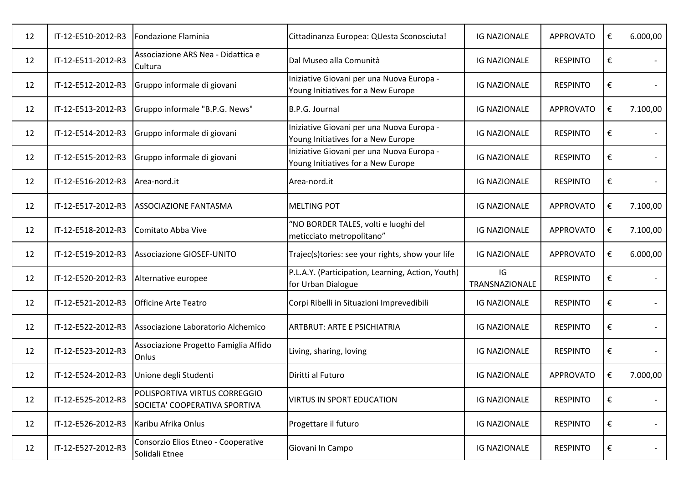| 12 | IT-12-E510-2012-R3 | Fondazione Flaminia                                            | Cittadinanza Europea: QUesta Sconosciuta!                                       | <b>IG NAZIONALE</b>  | APPROVATO        | € | 6.000,00 |
|----|--------------------|----------------------------------------------------------------|---------------------------------------------------------------------------------|----------------------|------------------|---|----------|
| 12 | IT-12-E511-2012-R3 | Associazione ARS Nea - Didattica e<br>Cultura                  | Dal Museo alla Comunità                                                         | <b>IG NAZIONALE</b>  | <b>RESPINTO</b>  | € |          |
| 12 | IT-12-E512-2012-R3 | Gruppo informale di giovani                                    | Iniziative Giovani per una Nuova Europa -<br>Young Initiatives for a New Europe | <b>IG NAZIONALE</b>  | <b>RESPINTO</b>  | € |          |
| 12 | IT-12-E513-2012-R3 | Gruppo informale "B.P.G. News"                                 | B.P.G. Journal                                                                  | <b>IG NAZIONALE</b>  | <b>APPROVATO</b> | € | 7.100,00 |
| 12 | IT-12-E514-2012-R3 | Gruppo informale di giovani                                    | Iniziative Giovani per una Nuova Europa -<br>Young Initiatives for a New Europe | <b>IG NAZIONALE</b>  | <b>RESPINTO</b>  | € |          |
| 12 | IT-12-E515-2012-R3 | Gruppo informale di giovani                                    | Iniziative Giovani per una Nuova Europa -<br>Young Initiatives for a New Europe | <b>IG NAZIONALE</b>  | <b>RESPINTO</b>  | € |          |
| 12 | IT-12-E516-2012-R3 | Area-nord.it                                                   | Area-nord.it                                                                    | <b>IG NAZIONALE</b>  | <b>RESPINTO</b>  | € |          |
| 12 | IT-12-E517-2012-R3 | <b>ASSOCIAZIONE FANTASMA</b>                                   | <b>MELTING POT</b>                                                              | <b>IG NAZIONALE</b>  | <b>APPROVATO</b> | € | 7.100,00 |
| 12 | IT-12-E518-2012-R3 | Comitato Abba Vive                                             | "NO BORDER TALES, volti e luoghi del<br>meticciato metropolitano"               | <b>IG NAZIONALE</b>  | <b>APPROVATO</b> | € | 7.100,00 |
| 12 | IT-12-E519-2012-R3 | <b>Associazione GIOSEF-UNITO</b>                               | Trajec(s)tories: see your rights, show your life                                | <b>IG NAZIONALE</b>  | <b>APPROVATO</b> | € | 6.000,00 |
| 12 | IT-12-E520-2012-R3 | Alternative europee                                            | P.L.A.Y. (Participation, Learning, Action, Youth)<br>for Urban Dialogue         | IG<br>TRANSNAZIONALE | <b>RESPINTO</b>  | € |          |
| 12 | IT-12-E521-2012-R3 | <b>Officine Arte Teatro</b>                                    | Corpi Ribelli in Situazioni Imprevedibili                                       | <b>IG NAZIONALE</b>  | <b>RESPINTO</b>  | € |          |
| 12 | IT-12-E522-2012-R3 | Associazione Laboratorio Alchemico                             | <b>ARTBRUT: ARTE E PSICHIATRIA</b>                                              | <b>IG NAZIONALE</b>  | <b>RESPINTO</b>  | € |          |
| 12 | IT-12-E523-2012-R3 | Associazione Progetto Famiglia Affido<br>Onlus                 | Living, sharing, loving                                                         | <b>IG NAZIONALE</b>  | <b>RESPINTO</b>  | € |          |
| 12 | IT-12-E524-2012-R3 | Unione degli Studenti                                          | Diritti al Futuro                                                               | <b>IG NAZIONALE</b>  | <b>APPROVATO</b> | € | 7.000,00 |
| 12 | IT-12-E525-2012-R3 | POLISPORTIVA VIRTUS CORREGGIO<br>SOCIETA' COOPERATIVA SPORTIVA | <b>VIRTUS IN SPORT EDUCATION</b>                                                | <b>IG NAZIONALE</b>  | <b>RESPINTO</b>  | € |          |
| 12 | IT-12-E526-2012-R3 | Karibu Afrika Onlus                                            | Progettare il futuro                                                            | <b>IG NAZIONALE</b>  | <b>RESPINTO</b>  | € |          |
| 12 | IT-12-E527-2012-R3 | Consorzio Elios Etneo - Cooperative<br>Solidali Etnee          | Giovani In Campo                                                                | <b>IG NAZIONALE</b>  | <b>RESPINTO</b>  | € |          |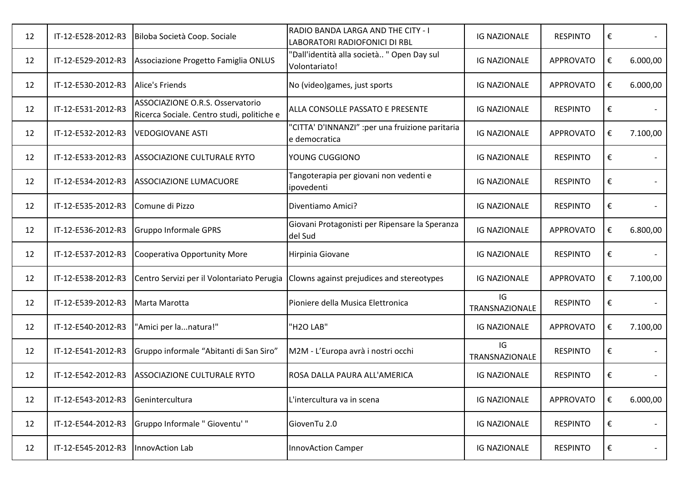| 12 | IT-12-E528-2012-R3 | Biloba Società Coop. Sociale                                                   | RADIO BANDA LARGA AND THE CITY - I<br>LABORATORI RADIOFONICI DI RBL | <b>IG NAZIONALE</b>  | <b>RESPINTO</b>  | € |          |
|----|--------------------|--------------------------------------------------------------------------------|---------------------------------------------------------------------|----------------------|------------------|---|----------|
| 12 | IT-12-E529-2012-R3 | Associazione Progetto Famiglia ONLUS                                           | 'Dall'identità alla società " Open Day sul<br>Volontariato!         | <b>IG NAZIONALE</b>  | <b>APPROVATO</b> | € | 6.000,00 |
| 12 | IT-12-E530-2012-R3 | Alice's Friends                                                                | No (video)games, just sports                                        | <b>IG NAZIONALE</b>  | <b>APPROVATO</b> | € | 6.000,00 |
| 12 | IT-12-E531-2012-R3 | ASSOCIAZIONE O.R.S. Osservatorio<br>Ricerca Sociale. Centro studi, politiche e | ALLA CONSOLLE PASSATO E PRESENTE                                    | <b>IG NAZIONALE</b>  | <b>RESPINTO</b>  | € |          |
| 12 | IT-12-E532-2012-R3 | <b>VEDOGIOVANE ASTI</b>                                                        | "CITTA' D'INNANZI" : per una fruizione paritaria<br>e democratica   | <b>IG NAZIONALE</b>  | <b>APPROVATO</b> | € | 7.100,00 |
| 12 | IT-12-E533-2012-R3 | <b>ASSOCIAZIONE CULTURALE RYTO</b>                                             | YOUNG CUGGIONO                                                      | <b>IG NAZIONALE</b>  | <b>RESPINTO</b>  | € |          |
| 12 | IT-12-E534-2012-R3 | <b>ASSOCIAZIONE LUMACUORE</b>                                                  | Tangoterapia per giovani non vedenti e<br>ipovedenti                | <b>IG NAZIONALE</b>  | <b>RESPINTO</b>  | € |          |
| 12 | IT-12-E535-2012-R3 | Comune di Pizzo                                                                | Diventiamo Amici?                                                   | <b>IG NAZIONALE</b>  | <b>RESPINTO</b>  | € |          |
| 12 | IT-12-E536-2012-R3 | <b>Gruppo Informale GPRS</b>                                                   | Giovani Protagonisti per Ripensare la Speranza<br>del Sud           | <b>IG NAZIONALE</b>  | <b>APPROVATO</b> | € | 6.800,00 |
| 12 | IT-12-E537-2012-R3 | Cooperativa Opportunity More                                                   | Hirpinia Giovane                                                    | <b>IG NAZIONALE</b>  | <b>RESPINTO</b>  | € |          |
| 12 | IT-12-E538-2012-R3 | Centro Servizi per il Volontariato Perugia                                     | Clowns against prejudices and stereotypes                           | <b>IG NAZIONALE</b>  | <b>APPROVATO</b> | € | 7.100,00 |
| 12 | IT-12-E539-2012-R3 | Marta Marotta                                                                  | Pioniere della Musica Elettronica                                   | IG<br>TRANSNAZIONALE | <b>RESPINTO</b>  | € |          |
| 12 | IT-12-E540-2012-R3 | "Amici per lanatura!"                                                          | "H2O LAB"                                                           | <b>IG NAZIONALE</b>  | <b>APPROVATO</b> | € | 7.100,00 |
| 12 | IT-12-E541-2012-R3 | Gruppo informale "Abitanti di San Siro"                                        | M2M - L'Europa avrà i nostri occhi                                  | IG<br>TRANSNAZIONALE | <b>RESPINTO</b>  | € |          |
| 12 | IT-12-E542-2012-R3 | <b>ASSOCIAZIONE CULTURALE RYTO</b>                                             | ROSA DALLA PAURA ALL'AMERICA                                        | <b>IG NAZIONALE</b>  | <b>RESPINTO</b>  | € |          |
| 12 | IT-12-E543-2012-R3 | Genintercultura                                                                | L'intercultura va in scena                                          | <b>IG NAZIONALE</b>  | <b>APPROVATO</b> | € | 6.000,00 |
| 12 | IT-12-E544-2012-R3 | Gruppo Informale " Gioventu' "                                                 | GiovenTu 2.0                                                        | <b>IG NAZIONALE</b>  | <b>RESPINTO</b>  | € | $\sim$   |
| 12 | IT-12-E545-2012-R3 | InnovAction Lab                                                                | <b>InnovAction Camper</b>                                           | <b>IG NAZIONALE</b>  | <b>RESPINTO</b>  | € |          |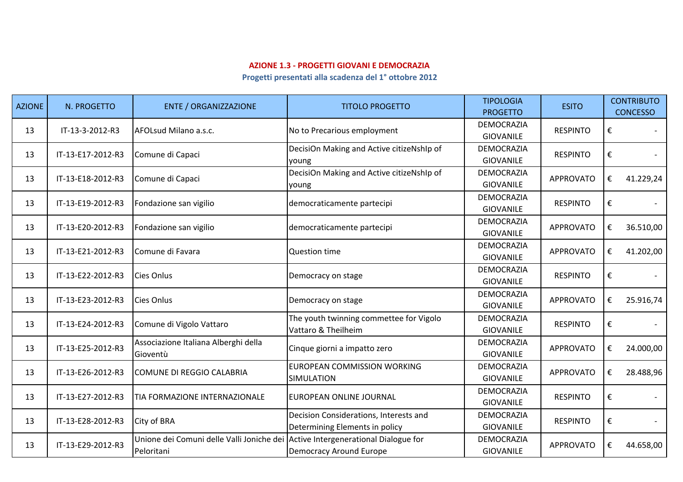## **AZIONE 1.3 - PROGETTI GIOVANI E DEMOCRAZIA**

**Progetti presentati alla scadenza del 1° ottobre 2012**

| <b>AZIONE</b> | N. PROGETTO       | <b>ENTE / ORGANIZZAZIONE</b>                                                                  | <b>TITOLO PROGETTO</b>                                                   | <b>TIPOLOGIA</b><br><b>PROGETTO</b>   | <b>ESITO</b>     | <b>CONTRIBUTO</b><br><b>CONCESSO</b> |
|---------------|-------------------|-----------------------------------------------------------------------------------------------|--------------------------------------------------------------------------|---------------------------------------|------------------|--------------------------------------|
| 13            | IT-13-3-2012-R3   | AFOLsud Milano a.s.c.                                                                         | No to Precarious employment                                              | <b>DEMOCRAZIA</b><br><b>GIOVANILE</b> | <b>RESPINTO</b>  | €                                    |
| 13            | IT-13-E17-2012-R3 | Comune di Capaci                                                                              | DecisiOn Making and Active citizeNshIp of<br>young                       | <b>DEMOCRAZIA</b><br><b>GIOVANILE</b> | <b>RESPINTO</b>  | €                                    |
| 13            | IT-13-E18-2012-R3 | Comune di Capaci                                                                              | DecisiOn Making and Active citizeNshIp of<br>young                       | <b>DEMOCRAZIA</b><br><b>GIOVANILE</b> | <b>APPROVATO</b> | 41.229,24<br>€                       |
| 13            | IT-13-E19-2012-R3 | Fondazione san vigilio                                                                        | democraticamente partecipi                                               | <b>DEMOCRAZIA</b><br><b>GIOVANILE</b> | <b>RESPINTO</b>  | €                                    |
| 13            | IT-13-E20-2012-R3 | Fondazione san vigilio                                                                        | democraticamente partecipi                                               | <b>DEMOCRAZIA</b><br><b>GIOVANILE</b> | <b>APPROVATO</b> | €<br>36.510,00                       |
| 13            | IT-13-E21-2012-R3 | Comune di Favara                                                                              | Question time                                                            | <b>DEMOCRAZIA</b><br><b>GIOVANILE</b> | <b>APPROVATO</b> | €<br>41.202,00                       |
| 13            | IT-13-E22-2012-R3 | Cies Onlus                                                                                    | Democracy on stage                                                       | <b>DEMOCRAZIA</b><br><b>GIOVANILE</b> | <b>RESPINTO</b>  | €                                    |
| 13            | IT-13-E23-2012-R3 | Cies Onlus                                                                                    | Democracy on stage                                                       | <b>DEMOCRAZIA</b><br><b>GIOVANILE</b> | <b>APPROVATO</b> | €<br>25.916,74                       |
| 13            | IT-13-E24-2012-R3 | Comune di Vigolo Vattaro                                                                      | The youth twinning commettee for Vigolo<br>Vattaro & Theilheim           | <b>DEMOCRAZIA</b><br><b>GIOVANILE</b> | <b>RESPINTO</b>  | €                                    |
| 13            | IT-13-E25-2012-R3 | Associazione Italiana Alberghi della<br>Gioventù                                              | Cinque giorni a impatto zero                                             | <b>DEMOCRAZIA</b><br><b>GIOVANILE</b> | <b>APPROVATO</b> | 24.000,00<br>€                       |
| 13            | IT-13-E26-2012-R3 | <b>COMUNE DI REGGIO CALABRIA</b>                                                              | EUROPEAN COMMISSION WORKING<br>SIMULATION                                | <b>DEMOCRAZIA</b><br><b>GIOVANILE</b> | <b>APPROVATO</b> | €<br>28.488,96                       |
| 13            | IT-13-E27-2012-R3 | TIA FORMAZIONE INTERNAZIONALE                                                                 | EUROPEAN ONLINE JOURNAL                                                  | DEMOCRAZIA<br><b>GIOVANILE</b>        | <b>RESPINTO</b>  | €                                    |
| 13            | IT-13-E28-2012-R3 | City of BRA                                                                                   | Decision Considerations, Interests and<br>Determining Elements in policy | <b>DEMOCRAZIA</b><br><b>GIOVANILE</b> | <b>RESPINTO</b>  | €                                    |
| 13            | IT-13-E29-2012-R3 | Unione dei Comuni delle Valli Joniche dei Active Intergenerational Dialogue for<br>Peloritani | Democracy Around Europe                                                  | DEMOCRAZIA<br><b>GIOVANILE</b>        | <b>APPROVATO</b> | €<br>44.658,00                       |